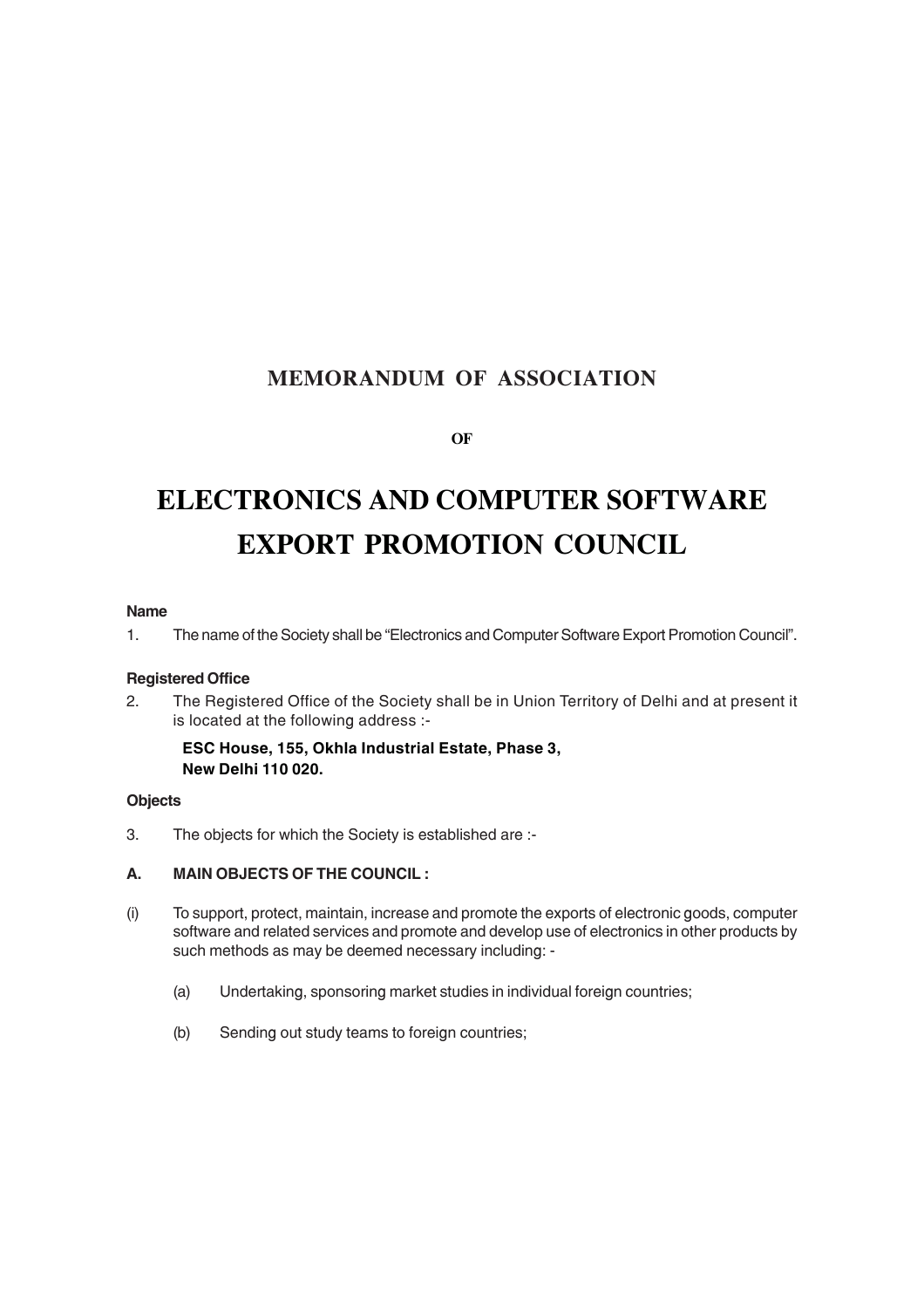# **MEMORANDUM OF ASSOCIATION**

**OF**

# **ELECTRONICS AND COMPUTER SOFTWARE EXPORT PROMOTION COUNCIL**

## **Name**

1. The name of the Society shall be "Electronics and Computer Software Export Promotion Council".

# **Registered Office**

2. The Registered Office of the Society shall be in Union Territory of Delhi and at present it is located at the following address :-

## **ESC House, 155, Okhla Industrial Estate, Phase 3, New Delhi 110 020.**

#### **Objects**

3. The objects for which the Society is established are :-

# **A. MAIN OBJECTS OF THE COUNCIL :**

- (i) To support, protect, maintain, increase and promote the exports of electronic goods, computer software and related services and promote and develop use of electronics in other products by such methods as may be deemed necessary including: -
	- (a) Undertaking, sponsoring market studies in individual foreign countries;
	- (b) Sending out study teams to foreign countries;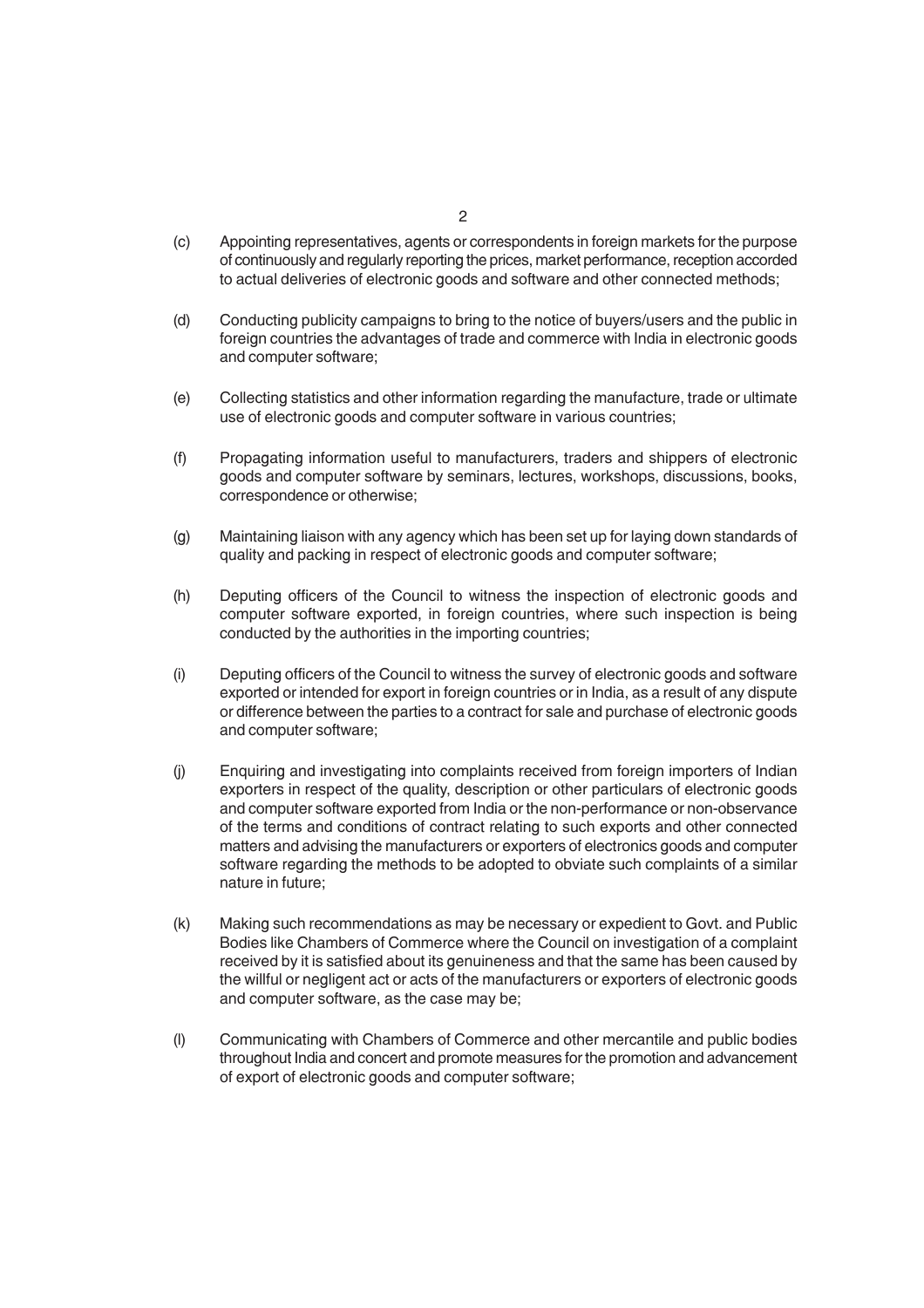- (c) Appointing representatives, agents or correspondents in foreign markets for the purpose of continuously and regularly reporting the prices, market performance, reception accorded to actual deliveries of electronic goods and software and other connected methods;
- (d) Conducting publicity campaigns to bring to the notice of buyers/users and the public in foreign countries the advantages of trade and commerce with India in electronic goods and computer software;
- (e) Collecting statistics and other information regarding the manufacture, trade or ultimate use of electronic goods and computer software in various countries;
- (f) Propagating information useful to manufacturers, traders and shippers of electronic goods and computer software by seminars, lectures, workshops, discussions, books, correspondence or otherwise;
- (g) Maintaining liaison with any agency which has been set up for laying down standards of quality and packing in respect of electronic goods and computer software;
- (h) Deputing officers of the Council to witness the inspection of electronic goods and computer software exported, in foreign countries, where such inspection is being conducted by the authorities in the importing countries;
- (i) Deputing officers of the Council to witness the survey of electronic goods and software exported or intended for export in foreign countries or in India, as a result of any dispute or difference between the parties to a contract for sale and purchase of electronic goods and computer software;
- (j) Enquiring and investigating into complaints received from foreign importers of Indian exporters in respect of the quality, description or other particulars of electronic goods and computer software exported from India or the non-performance or non-observance of the terms and conditions of contract relating to such exports and other connected matters and advising the manufacturers or exporters of electronics goods and computer software regarding the methods to be adopted to obviate such complaints of a similar nature in future;
- (k) Making such recommendations as may be necessary or expedient to Govt. and Public Bodies like Chambers of Commerce where the Council on investigation of a complaint received by it is satisfied about its genuineness and that the same has been caused by the willful or negligent act or acts of the manufacturers or exporters of electronic goods and computer software, as the case may be;
- (l) Communicating with Chambers of Commerce and other mercantile and public bodies throughout India and concert and promote measures for the promotion and advancement of export of electronic goods and computer software;

 $\overline{2}$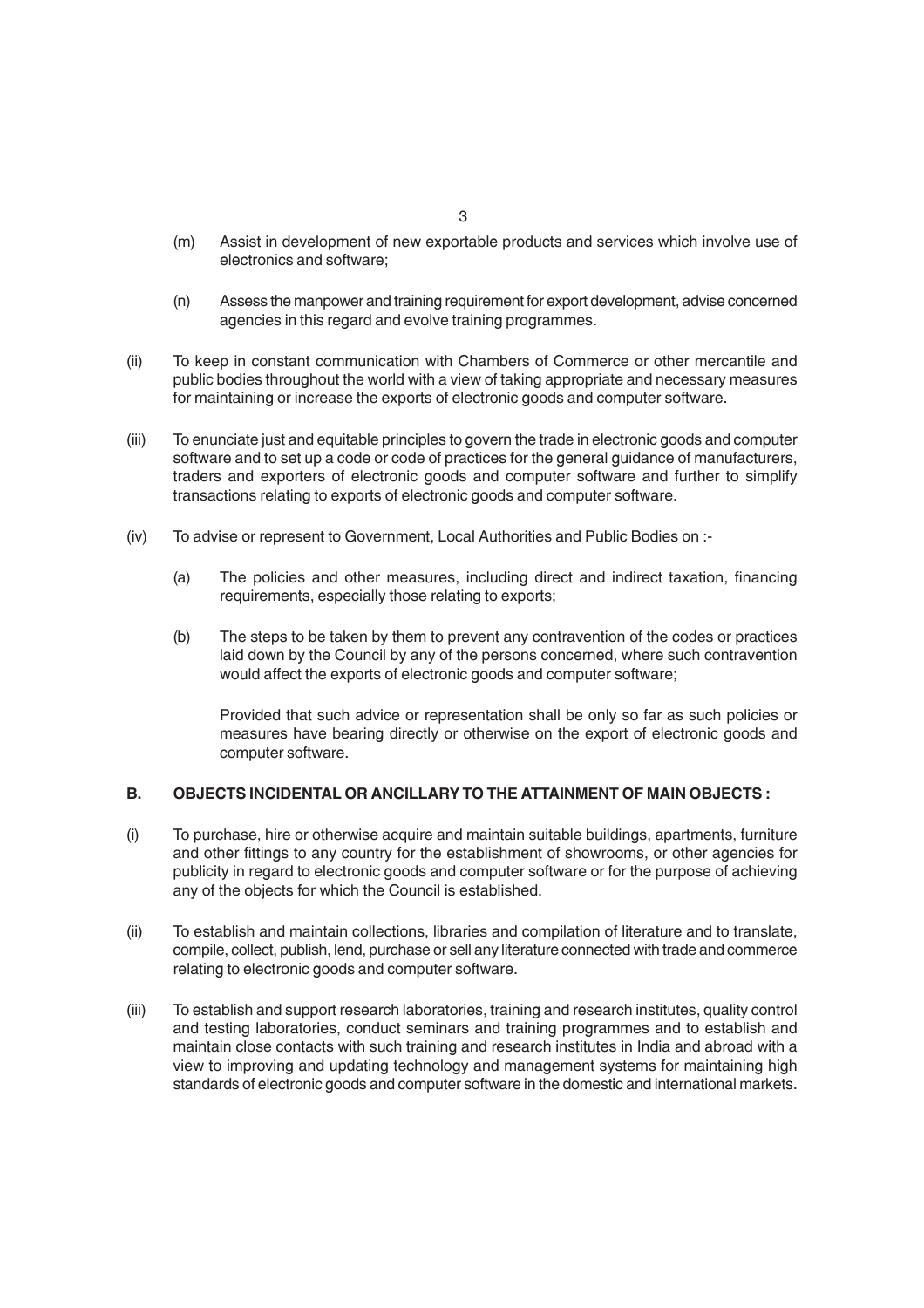- (m) Assist in development of new exportable products and services which involve use of electronics and software;
- (n) Assess the manpower and training requirement for export development, advise concerned agencies in this regard and evolve training programmes.
- (ii) To keep in constant communication with Chambers of Commerce or other mercantile and public bodies throughout the world with a view of taking appropriate and necessary measures for maintaining or increase the exports of electronic goods and computer software.
- (iii) To enunciate just and equitable principles to govern the trade in electronic goods and computer software and to set up a code or code of practices for the general guidance of manufacturers, traders and exporters of electronic goods and computer software and further to simplify transactions relating to exports of electronic goods and computer software.
- (iv) To advise or represent to Government, Local Authorities and Public Bodies on :-
	- (a) The policies and other measures, including direct and indirect taxation, financing requirements, especially those relating to exports;
	- (b) The steps to be taken by them to prevent any contravention of the codes or practices laid down by the Council by any of the persons concerned, where such contravention would affect the exports of electronic goods and computer software;

Provided that such advice or representation shall be only so far as such policies or measures have bearing directly or otherwise on the export of electronic goods and computer software.

### **B. OBJECTS INCIDENTAL OR ANCILLARY TO THE ATTAINMENT OF MAIN OBJECTS :**

- (i) To purchase, hire or otherwise acquire and maintain suitable buildings, apartments, furniture and other fittings to any country for the establishment of showrooms, or other agencies for publicity in regard to electronic goods and computer software or for the purpose of achieving any of the objects for which the Council is established.
- (ii) To establish and maintain collections, libraries and compilation of literature and to translate, compile, collect, publish, lend, purchase or sell any literature connected with trade and commerce relating to electronic goods and computer software.
- (iii) To establish and support research laboratories, training and research institutes, quality control and testing laboratories, conduct seminars and training programmes and to establish and maintain close contacts with such training and research institutes in India and abroad with a view to improving and updating technology and management systems for maintaining high standards of electronic goods and computer software in the domestic and international markets.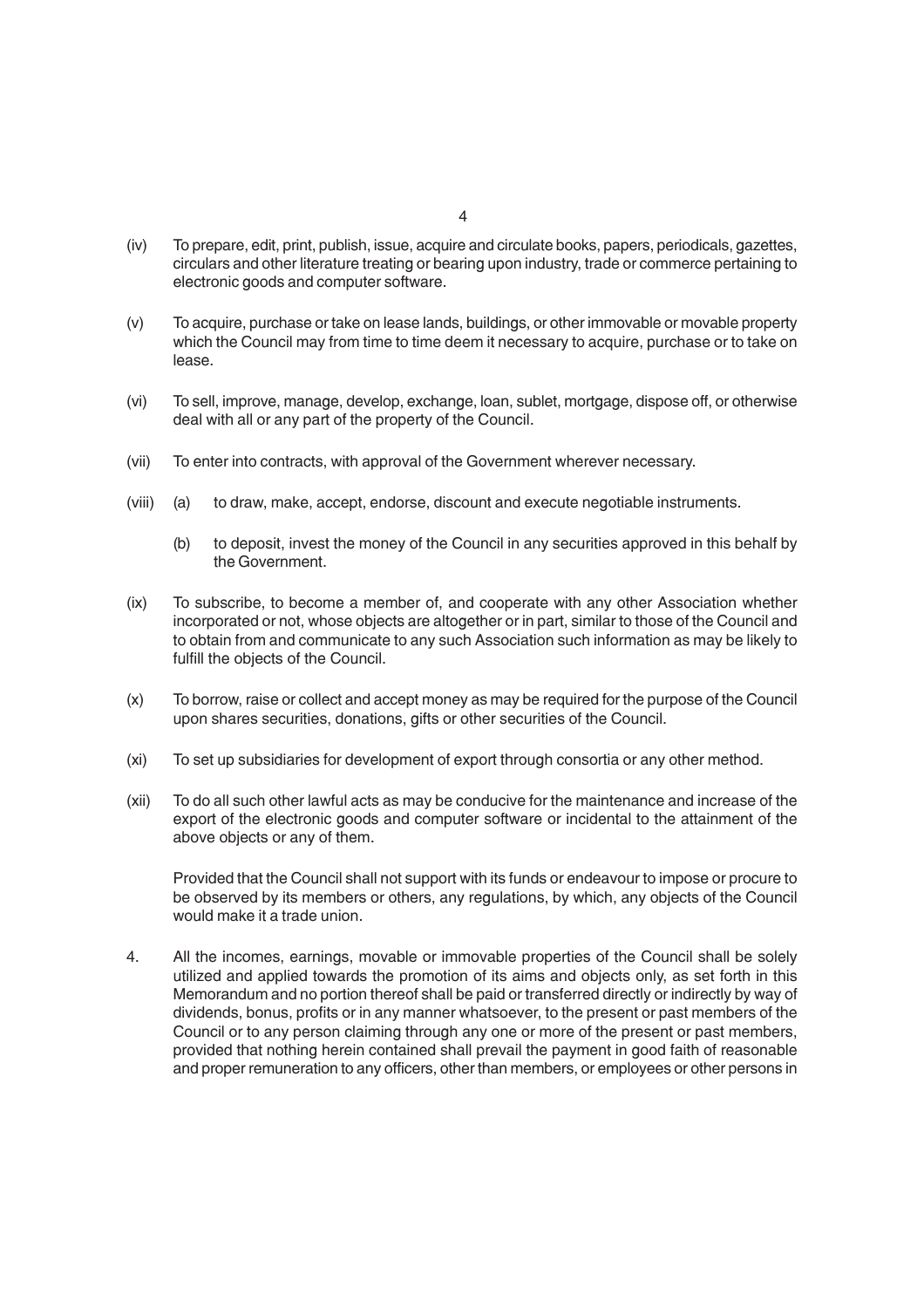- (iv) To prepare, edit, print, publish, issue, acquire and circulate books, papers, periodicals, gazettes, circulars and other literature treating or bearing upon industry, trade or commerce pertaining to electronic goods and computer software.
- (v) To acquire, purchase or take on lease lands, buildings, or other immovable or movable property which the Council may from time to time deem it necessary to acquire, purchase or to take on lease.
- (vi) To sell, improve, manage, develop, exchange, loan, sublet, mortgage, dispose off, or otherwise deal with all or any part of the property of the Council.
- (vii) To enter into contracts, with approval of the Government wherever necessary.
- (viii) (a) to draw, make, accept, endorse, discount and execute negotiable instruments.
	- (b) to deposit, invest the money of the Council in any securities approved in this behalf by the Government.
- (ix) To subscribe, to become a member of, and cooperate with any other Association whether incorporated or not, whose objects are altogether or in part, similar to those of the Council and to obtain from and communicate to any such Association such information as may be likely to fulfill the objects of the Council.
- (x) To borrow, raise or collect and accept money as may be required for the purpose of the Council upon shares securities, donations, gifts or other securities of the Council.
- (xi) To set up subsidiaries for development of export through consortia or any other method.
- (xii) To do all such other lawful acts as may be conducive for the maintenance and increase of the export of the electronic goods and computer software or incidental to the attainment of the above objects or any of them.

Provided that the Council shall not support with its funds or endeavour to impose or procure to be observed by its members or others, any regulations, by which, any objects of the Council would make it a trade union.

4. All the incomes, earnings, movable or immovable properties of the Council shall be solely utilized and applied towards the promotion of its aims and objects only, as set forth in this Memorandum and no portion thereof shall be paid or transferred directly or indirectly by way of dividends, bonus, profits or in any manner whatsoever, to the present or past members of the Council or to any person claiming through any one or more of the present or past members, provided that nothing herein contained shall prevail the payment in good faith of reasonable and proper remuneration to any officers, other than members, or employees or other persons in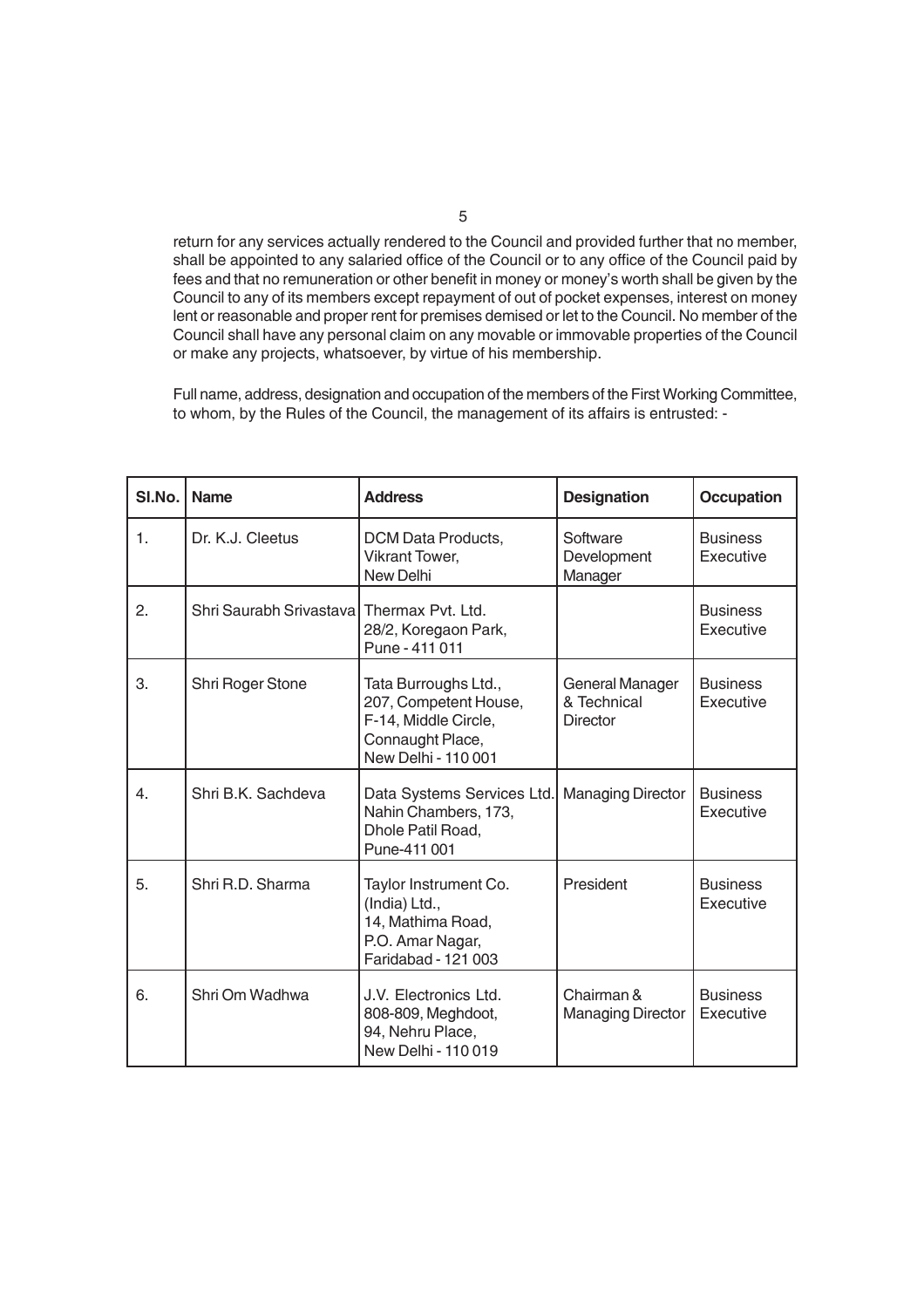return for any services actually rendered to the Council and provided further that no member, shall be appointed to any salaried office of the Council or to any office of the Council paid by fees and that no remuneration or other benefit in money or money's worth shall be given by the Council to any of its members except repayment of out of pocket expenses, interest on money lent or reasonable and proper rent for premises demised or let to the Council. No member of the Council shall have any personal claim on any movable or immovable properties of the Council or make any projects, whatsoever, by virtue of his membership.

Full name, address, designation and occupation of the members of the First Working Committee, to whom, by the Rules of the Council, the management of its affairs is entrusted: -

| SI.No.         | <b>Name</b>                                | <b>Address</b>                                                                                                   | <b>Designation</b>                                | <b>Occupation</b>            |
|----------------|--------------------------------------------|------------------------------------------------------------------------------------------------------------------|---------------------------------------------------|------------------------------|
| $\mathbf{1}$ . | Dr. K.J. Cleetus                           | DCM Data Products,<br><b>Vikrant Tower,</b><br>New Delhi                                                         | Software<br>Development<br>Manager                | <b>Business</b><br>Executive |
| 2.             | Shri Saurabh Srivastaval Thermax Pvt. Ltd. | 28/2, Koregaon Park,<br>Pune - 411 011                                                                           |                                                   | <b>Business</b><br>Executive |
| 3.             | Shri Roger Stone                           | Tata Burroughs Ltd.,<br>207, Competent House,<br>F-14, Middle Circle,<br>Connaught Place,<br>New Delhi - 110 001 | General Manager<br>& Technical<br><b>Director</b> | <b>Business</b><br>Executive |
| 4.             | Shri B.K. Sachdeva                         | Data Systems Services Ltd.<br>Nahin Chambers, 173,<br>Dhole Patil Road,<br>Pune-411 001                          | <b>Managing Director</b>                          | <b>Business</b><br>Executive |
| 5.             | Shri R.D. Sharma                           | Taylor Instrument Co.<br>(India) Ltd.,<br>14, Mathima Road,<br>P.O. Amar Nagar,<br>Faridabad - 121 003           | President                                         | <b>Business</b><br>Executive |
| 6.             | Shri Om Wadhwa                             | J.V. Electronics Ltd.<br>808-809, Meghdoot,<br>94, Nehru Place,<br>New Delhi - 110 019                           | Chairman &<br><b>Managing Director</b>            | <b>Business</b><br>Executive |

5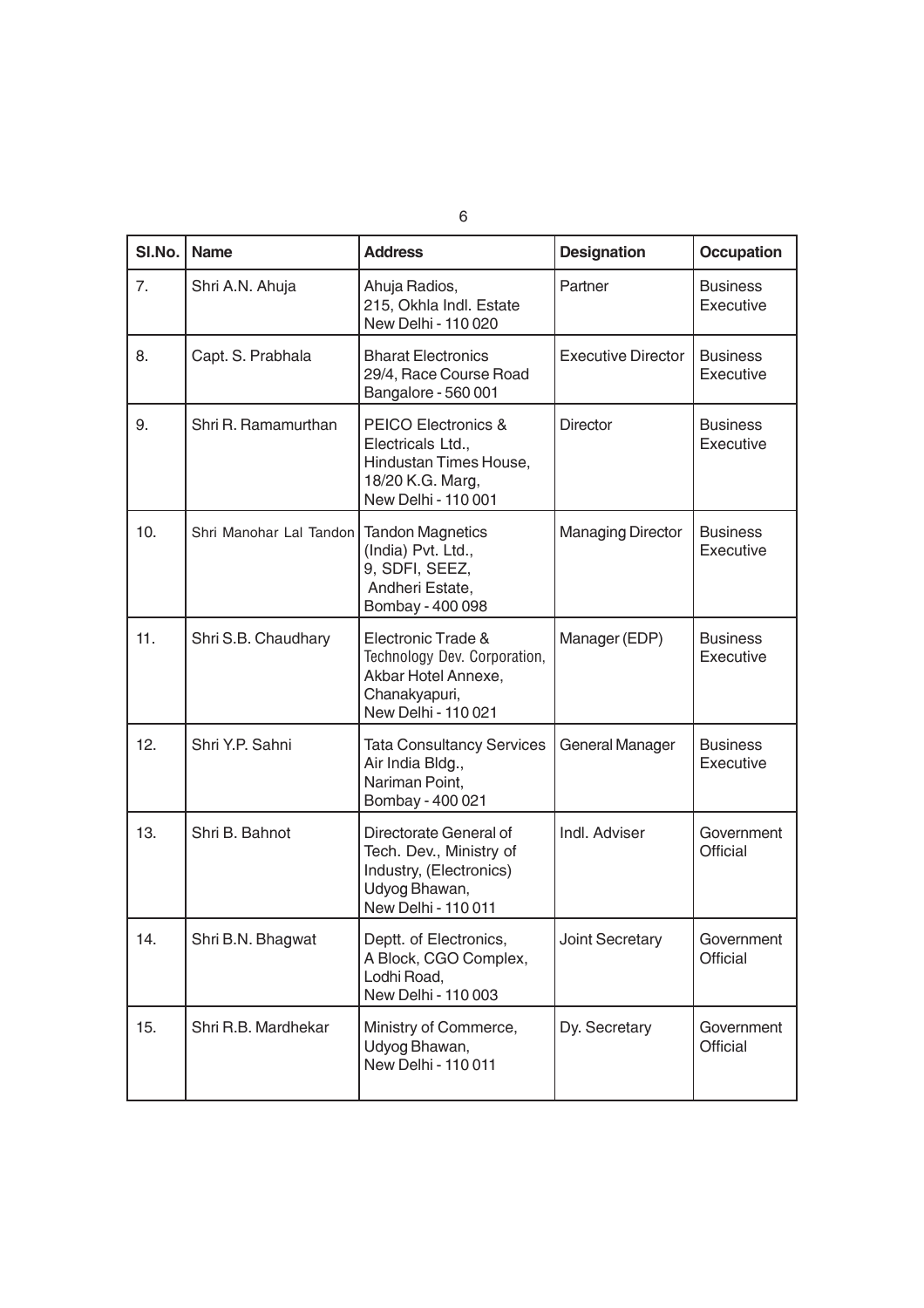| $SI$ . No. $ $ | <b>Name</b>             | <b>Address</b>                                                                                                           | <b>Designation</b>        | <b>Occupation</b>             |
|----------------|-------------------------|--------------------------------------------------------------------------------------------------------------------------|---------------------------|-------------------------------|
| 7.             | Shri A.N. Ahuja         | Ahuja Radios,<br>215, Okhla Indl. Estate<br>New Delhi - 110 020                                                          | Partner                   | <b>Business</b><br>Executive  |
| 8.             | Capt. S. Prabhala       | <b>Bharat Electronics</b><br>29/4, Race Course Road<br>Bangalore - 560 001                                               | <b>Executive Director</b> | <b>Business</b><br>Executive  |
| 9.             | Shri R. Ramamurthan     | <b>PEICO Electronics &amp;</b><br>Electricals Ltd.,<br>Hindustan Times House,<br>18/20 K.G. Marg,<br>New Delhi - 110 001 | <b>Director</b>           | <b>Business</b><br>Executive  |
| 10.            | Shri Manohar Lal Tandon | <b>Tandon Magnetics</b><br>(India) Pvt. Ltd.,<br>9, SDFI, SEEZ,<br>Andheri Estate,<br>Bombay - 400 098                   | <b>Managing Director</b>  | Business<br>Executive         |
| 11.            | Shri S.B. Chaudhary     | Electronic Trade &<br>Technology Dev. Corporation,<br>Akbar Hotel Annexe,<br>Chanakyapuri,<br>New Delhi - 110 021        | Manager (EDP)             | <b>Business</b><br>Executive  |
| 12.            | Shri Y.P. Sahni         | <b>Tata Consultancy Services</b><br>Air India Bldg.,<br>Nariman Point,<br>Bombay - 400 021                               | General Manager           | <b>Business</b><br>Executive  |
| 13.            | Shri B. Bahnot          | Directorate General of<br>Tech. Dev., Ministry of<br>Industry, (Electronics)<br>Udyog Bhawan,<br>New Delhi - 110 011     | Indl. Adviser             | Government<br><b>Official</b> |
| 14.            | Shri B.N. Bhagwat       | Deptt. of Electronics,<br>A Block, CGO Complex,<br>Lodhi Road,<br>New Delhi - 110 003                                    | Joint Secretary           | Government<br>Official        |
| 15.            | Shri R.B. Mardhekar     | Ministry of Commerce,<br>Udyog Bhawan,<br>New Delhi - 110 011                                                            | Dy. Secretary             | Government<br>Official        |

6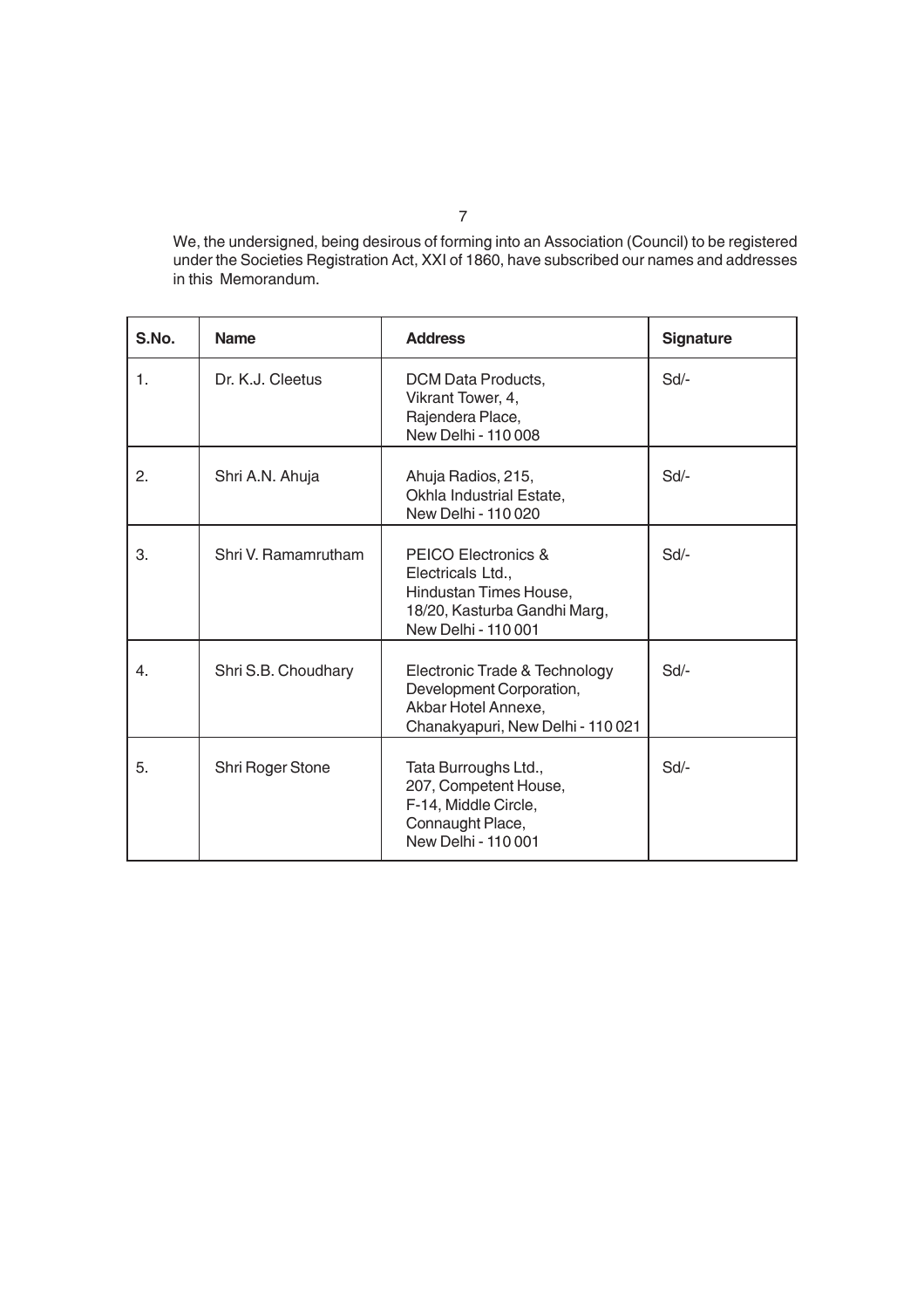We, the undersigned, being desirous of forming into an Association (Council) to be registered under the Societies Registration Act, XXI of 1860, have subscribed our names and addresses in this Memorandum.

| S.No. | <b>Name</b>         | <b>Address</b>                                                                                                            | <b>Signature</b> |
|-------|---------------------|---------------------------------------------------------------------------------------------------------------------------|------------------|
| 1.    | Dr. K.J. Cleetus    | DCM Data Products,<br>Vikrant Tower, 4,<br>Rajendera Place,<br>New Delhi - 110 008                                        | $Sd$ -           |
| 2.    | Shri A.N. Ahuja     | Ahuja Radios, 215,<br>Okhla Industrial Estate,<br>New Delhi - 110 020                                                     | Sd               |
| 3.    | Shri V. Ramamrutham | PEICO Electronics &<br>Electricals Ltd.,<br>Hindustan Times House,<br>18/20, Kasturba Gandhi Marg,<br>New Delhi - 110 001 | Sd               |
| 4.    | Shri S.B. Choudhary | Electronic Trade & Technology<br>Development Corporation,<br>Akbar Hotel Annexe,<br>Chanakyapuri, New Delhi - 110 021     | Sd               |
| 5.    | Shri Roger Stone    | Tata Burroughs Ltd.,<br>207, Competent House,<br>F-14, Middle Circle,<br>Connaught Place,<br>New Delhi - 110 001          | $Sd$ -           |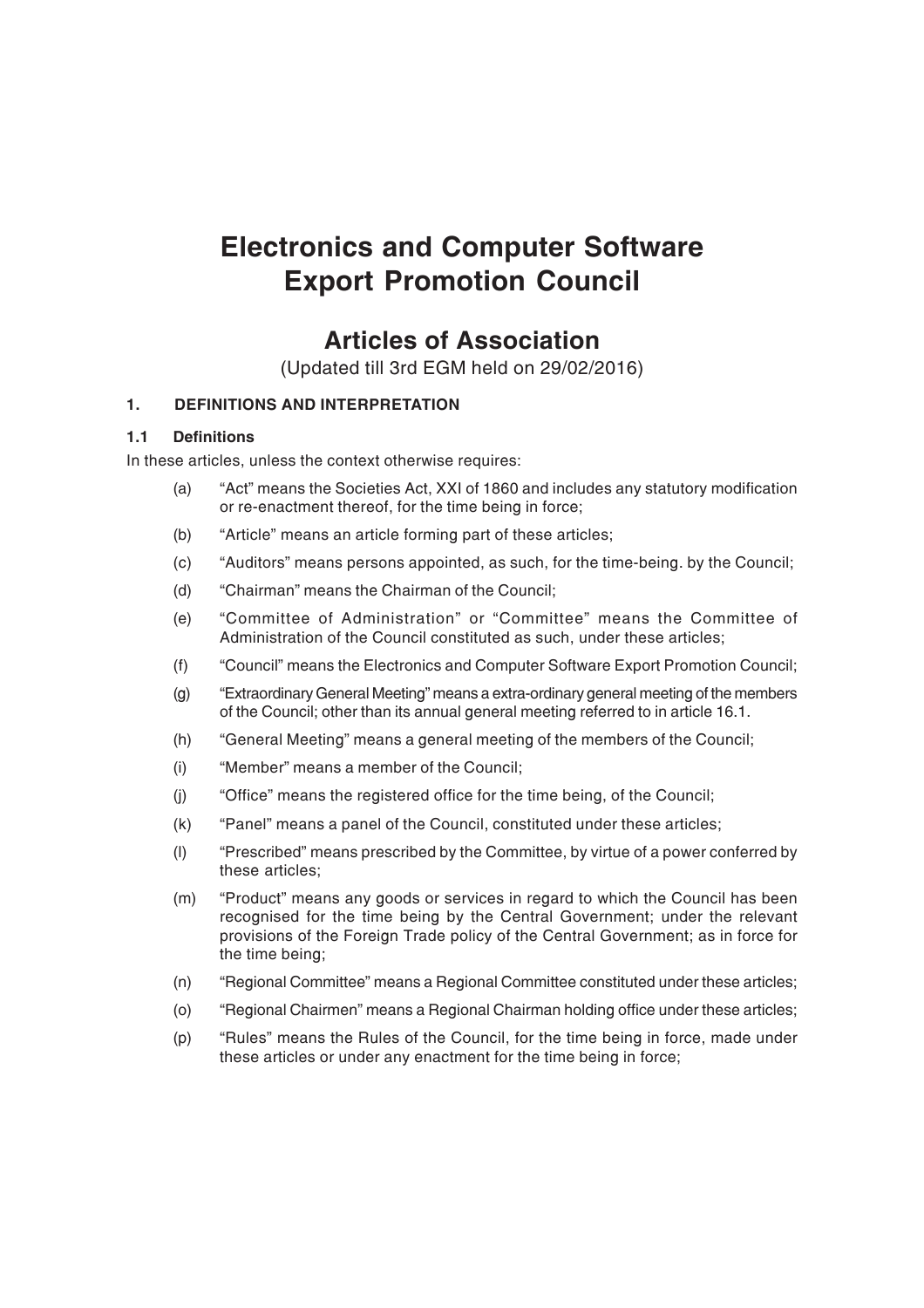# **Electronics and Computer Software Export Promotion Council**

# **Articles of Association**

(Updated till 3rd EGM held on 29/02/2016)

# **1. DEFINITIONS AND INTERPRETATION**

## **1.1 Definitions**

In these articles, unless the context otherwise requires:

- (a) "Act" means the Societies Act, XXI of 1860 and includes any statutory modification or re-enactment thereof, for the time being in force;
- (b) "Article" means an article forming part of these articles;
- (c) "Auditors" means persons appointed, as such, for the time-being. by the Council;
- (d) "Chairman" means the Chairman of the Council;
- (e) "Committee of Administration" or "Committee" means the Committee of Administration of the Council constituted as such, under these articles;
- (f) "Council" means the Electronics and Computer Software Export Promotion Council;
- (g) "Extraordinary General Meeting" means a extra-ordinary general meeting of the members of the Council; other than its annual general meeting referred to in article 16.1.
- (h) "General Meeting" means a general meeting of the members of the Council;
- (i) "Member" means a member of the Council;
- (j) "Office" means the registered office for the time being, of the Council;
- (k) "Panel" means a panel of the Council, constituted under these articles;
- (l) "Prescribed" means prescribed by the Committee, by virtue of a power conferred by these articles;
- (m) "Product" means any goods or services in regard to which the Council has been recognised for the time being by the Central Government; under the relevant provisions of the Foreign Trade policy of the Central Government; as in force for the time being;
- (n) "Regional Committee" means a Regional Committee constituted under these articles;
- (o) "Regional Chairmen" means a Regional Chairman holding office under these articles;
- (p) "Rules" means the Rules of the Council, for the time being in force, made under these articles or under any enactment for the time being in force;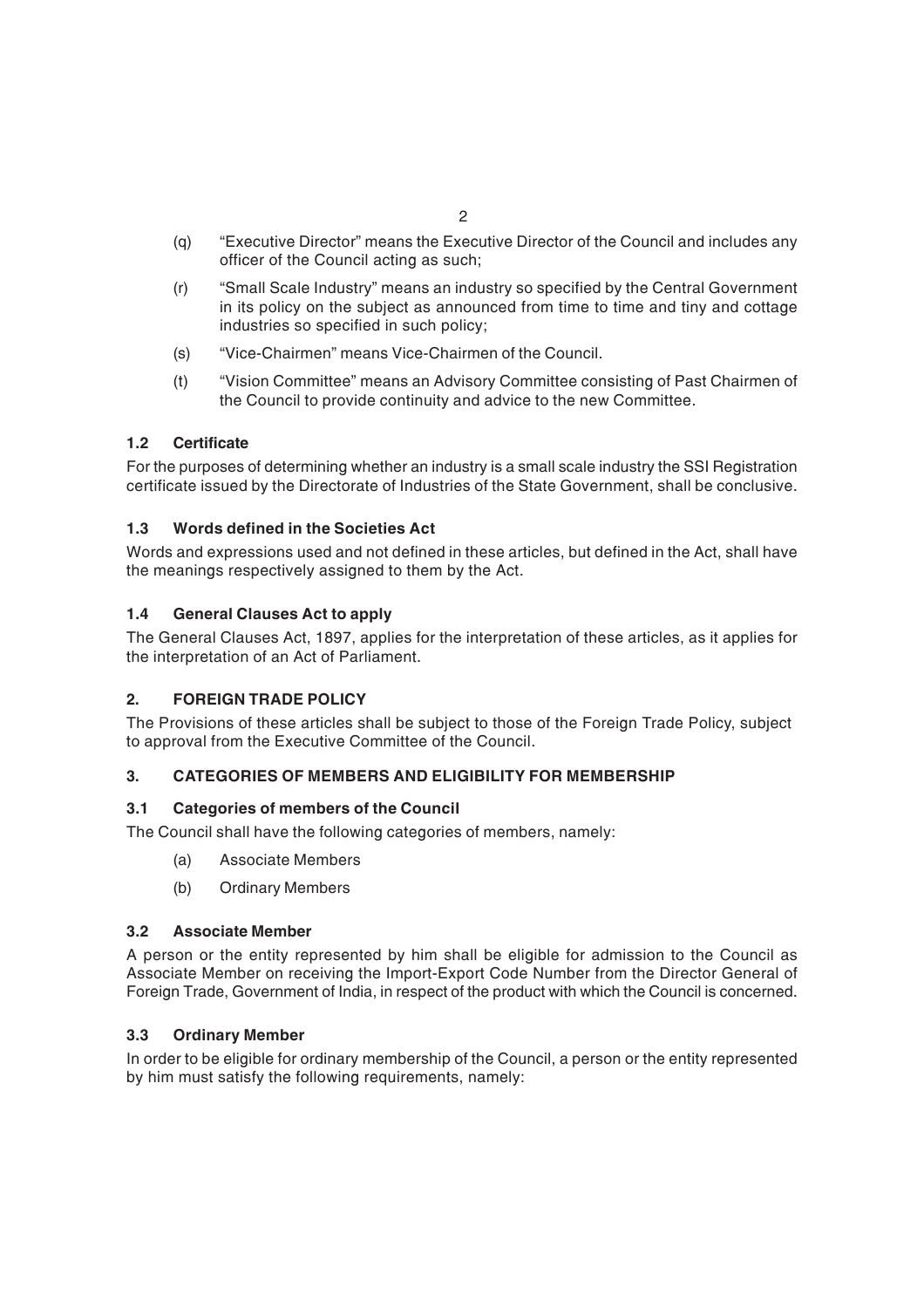- (q) "Executive Director" means the Executive Director of the Council and includes any officer of the Council acting as such;
- (r) "Small Scale Industry" means an industry so specified by the Central Government in its policy on the subject as announced from time to time and tiny and cottage industries so specified in such policy;
- (s) "Vice-Chairmen" means Vice-Chairmen of the Council.
- (t) "Vision Committee" means an Advisory Committee consisting of Past Chairmen of the Council to provide continuity and advice to the new Committee.

# **1.2 Certificate**

For the purposes of determining whether an industry is a small scale industry the SSI Registration certificate issued by the Directorate of Industries of the State Government, shall be conclusive.

# **1.3 Words defined in the Societies Act**

Words and expressions used and not defined in these articles, but defined in the Act, shall have the meanings respectively assigned to them by the Act.

# **1.4 General Clauses Act to apply**

The General Clauses Act, 1897, applies for the interpretation of these articles, as it applies for the interpretation of an Act of Parliament.

## **2. FOREIGN TRADE POLICY**

The Provisions of these articles shall be subject to those of the Foreign Trade Policy, subject to approval from the Executive Committee of the Council.

## **3. CATEGORIES OF MEMBERS AND ELIGIBILITY FOR MEMBERSHIP**

## **3.1 Categories of members of the Council**

The Council shall have the following categories of members, namely:

- (a) Associate Members
- (b) Ordinary Members

## **3.2 Associate Member**

A person or the entity represented by him shall be eligible for admission to the Council as Associate Member on receiving the Import-Export Code Number from the Director General of Foreign Trade, Government of India, in respect of the product with which the Council is concerned.

## **3.3 Ordinary Member**

In order to be eligible for ordinary membership of the Council, a person or the entity represented by him must satisfy the following requirements, namely: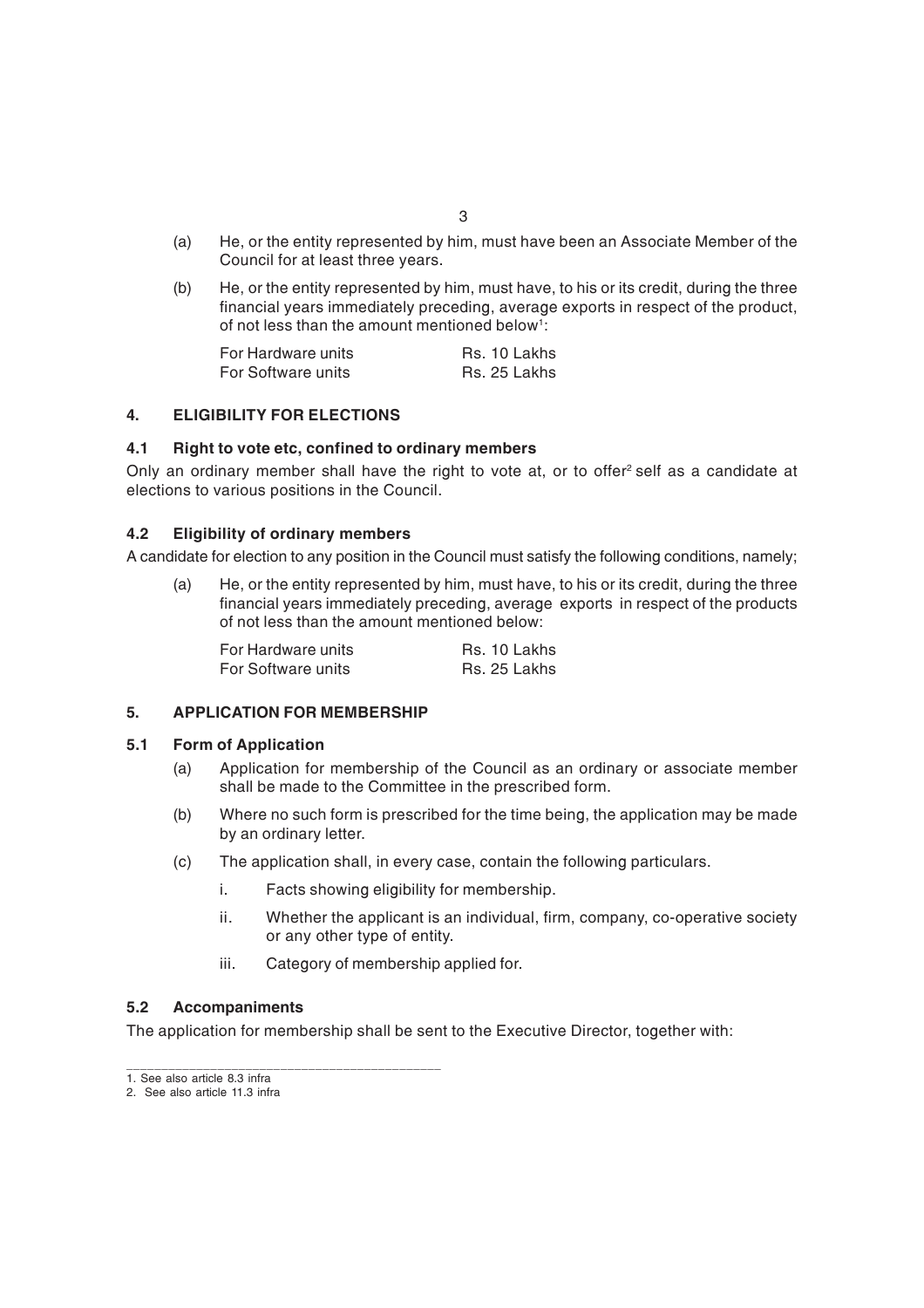- (a) He, or the entity represented by him, must have been an Associate Member of the Council for at least three years.
- (b) He, or the entity represented by him, must have, to his or its credit, during the three financial years immediately preceding, average exports in respect of the product, of not less than the amount mentioned below<sup>1</sup>:

| For Hardware units | Rs. 10 Lakhs |
|--------------------|--------------|
| For Software units | Rs. 25 Lakhs |

#### **4. ELIGIBILITY FOR ELECTIONS**

#### **4.1 Right to vote etc, confined to ordinary members**

Only an ordinary member shall have the right to vote at, or to offer<sup>2</sup> self as a candidate at elections to various positions in the Council.

#### **4.2 Eligibility of ordinary members**

A candidate for election to any position in the Council must satisfy the following conditions, namely;

(a) He, or the entity represented by him, must have, to his or its credit, during the three financial years immediately preceding, average exports in respect of the products of not less than the amount mentioned below:

| For Hardware units | Rs. 10 Lakhs |
|--------------------|--------------|
| For Software units | Rs. 25 Lakhs |

#### **5. APPLICATION FOR MEMBERSHIP**

\_\_\_\_\_\_\_\_\_\_\_\_\_\_\_\_\_\_\_\_\_\_\_\_\_\_\_\_\_\_\_\_\_\_\_\_\_\_\_\_\_\_\_\_\_

#### **5.1 Form of Application**

- (a) Application for membership of the Council as an ordinary or associate member shall be made to the Committee in the prescribed form.
- (b) Where no such form is prescribed for the time being, the application may be made by an ordinary letter.
- (c) The application shall, in every case, contain the following particulars.
	- i. Facts showing eligibility for membership.
	- ii. Whether the applicant is an individual, firm, company, co-operative society or any other type of entity.
	- iii. Category of membership applied for.

#### **5.2 Accompaniments**

The application for membership shall be sent to the Executive Director, together with:

<sup>1.</sup> See also article 8.3 infra

<sup>2.</sup> See also article 11.3 infra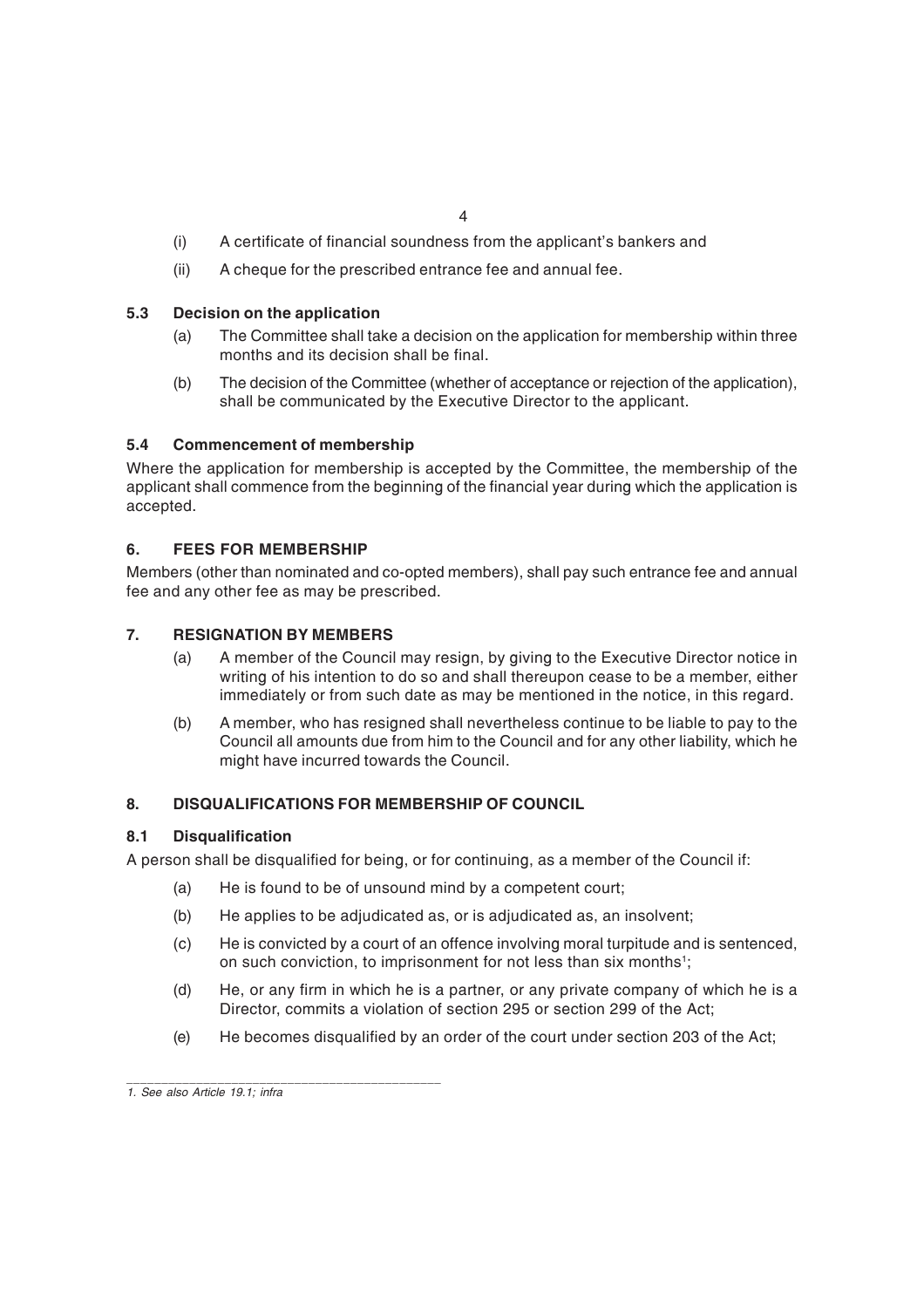- (i) A certificate of financial soundness from the applicant's bankers and
- (ii) A cheque for the prescribed entrance fee and annual fee.

## **5.3 Decision on the application**

- (a) The Committee shall take a decision on the application for membership within three months and its decision shall be final.
- (b) The decision of the Committee (whether of acceptance or rejection of the application), shall be communicated by the Executive Director to the applicant.

## **5.4 Commencement of membership**

Where the application for membership is accepted by the Committee, the membership of the applicant shall commence from the beginning of the financial year during which the application is accepted.

## **6. FEES FOR MEMBERSHIP**

Members (other than nominated and co-opted members), shall pay such entrance fee and annual fee and any other fee as may be prescribed.

## **7. RESIGNATION BY MEMBERS**

- (a) A member of the Council may resign, by giving to the Executive Director notice in writing of his intention to do so and shall thereupon cease to be a member, either immediately or from such date as may be mentioned in the notice, in this regard.
- (b) A member, who has resigned shall nevertheless continue to be liable to pay to the Council all amounts due from him to the Council and for any other liability, which he might have incurred towards the Council.

#### **8. DISQUALIFICATIONS FOR MEMBERSHIP OF COUNCIL**

#### **8.1 Disqualification**

A person shall be disqualified for being, or for continuing, as a member of the Council if:

- (a) He is found to be of unsound mind by a competent court;
- (b) He applies to be adjudicated as, or is adjudicated as, an insolvent;
- (c) He is convicted by a court of an offence involving moral turpitude and is sentenced, on such conviction, to imprisonment for not less than six months<sup>1</sup>;
- (d) He, or any firm in which he is a partner, or any private company of which he is a Director, commits a violation of section 295 or section 299 of the Act;
- (e) He becomes disqualified by an order of the court under section 203 of the Act;

\_\_\_\_\_\_\_\_\_\_\_\_\_\_\_\_\_\_\_\_\_\_\_\_\_\_\_\_\_\_\_\_\_\_\_\_\_\_\_\_\_\_\_\_\_

*<sup>1.</sup> See also Article 19.1; infra*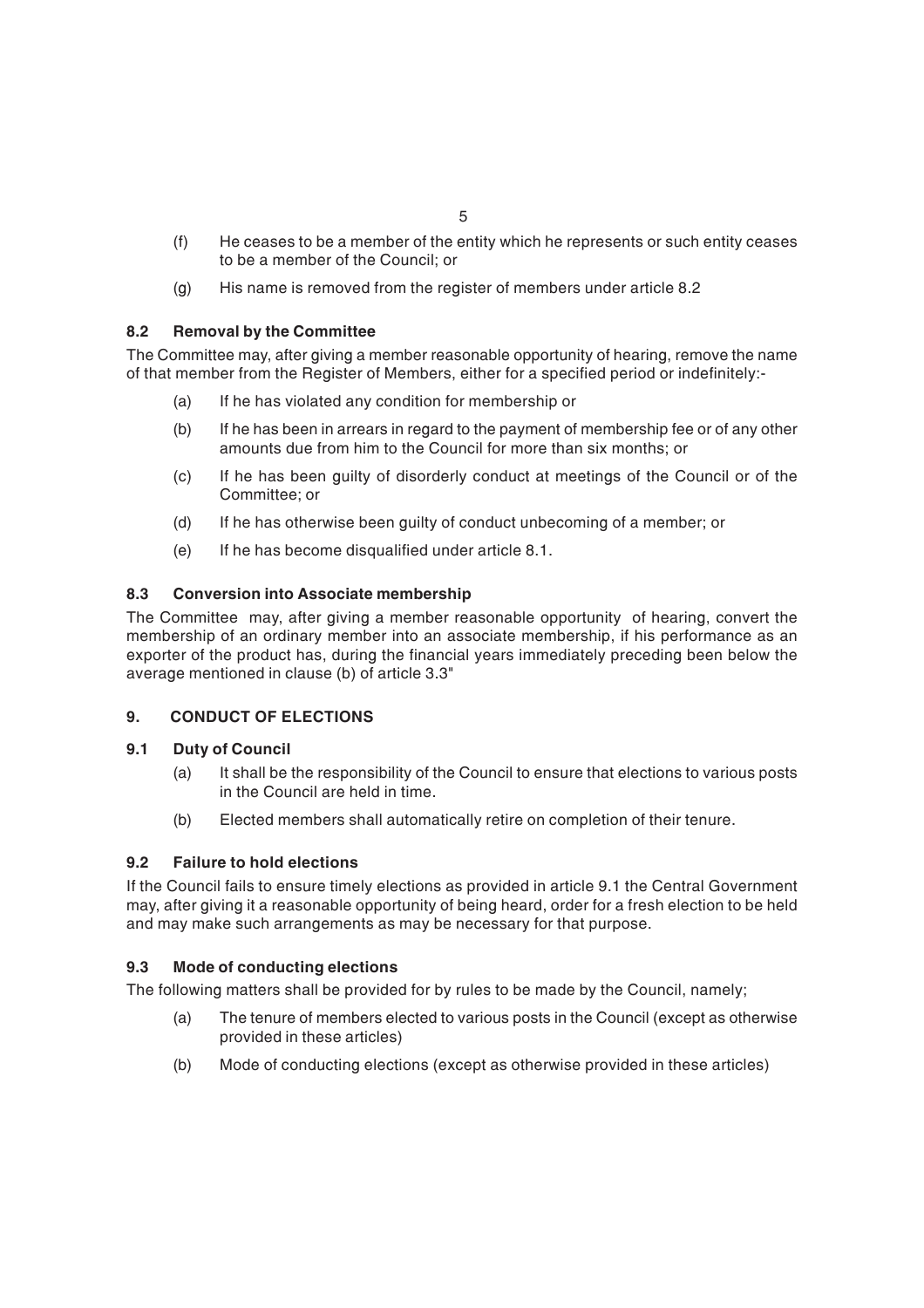- (f) He ceases to be a member of the entity which he represents or such entity ceases to be a member of the Council; or
- (g) His name is removed from the register of members under article 8.2

# **8.2 Removal by the Committee**

The Committee may, after giving a member reasonable opportunity of hearing, remove the name of that member from the Register of Members, either for a specified period or indefinitely:-

- (a) If he has violated any condition for membership or
- (b) If he has been in arrears in regard to the payment of membership fee or of any other amounts due from him to the Council for more than six months; or
- (c) If he has been guilty of disorderly conduct at meetings of the Council or of the Committee; or
- (d) If he has otherwise been guilty of conduct unbecoming of a member; or
- (e) If he has become disqualified under article 8.1.

## **8.3 Conversion into Associate membership**

The Committee may, after giving a member reasonable opportunity of hearing, convert the membership of an ordinary member into an associate membership, if his performance as an exporter of the product has, during the financial years immediately preceding been below the average mentioned in clause (b) of article 3.3"

## **9. CONDUCT OF ELECTIONS**

## **9.1 Duty of Council**

- (a) It shall be the responsibility of the Council to ensure that elections to various posts in the Council are held in time.
- (b) Elected members shall automatically retire on completion of their tenure.

## **9.2 Failure to hold elections**

If the Council fails to ensure timely elections as provided in article 9.1 the Central Government may, after giving it a reasonable opportunity of being heard, order for a fresh election to be held and may make such arrangements as may be necessary for that purpose.

## **9.3 Mode of conducting elections**

The following matters shall be provided for by rules to be made by the Council, namely;

- (a) The tenure of members elected to various posts in the Council (except as otherwise provided in these articles)
- (b) Mode of conducting elections (except as otherwise provided in these articles)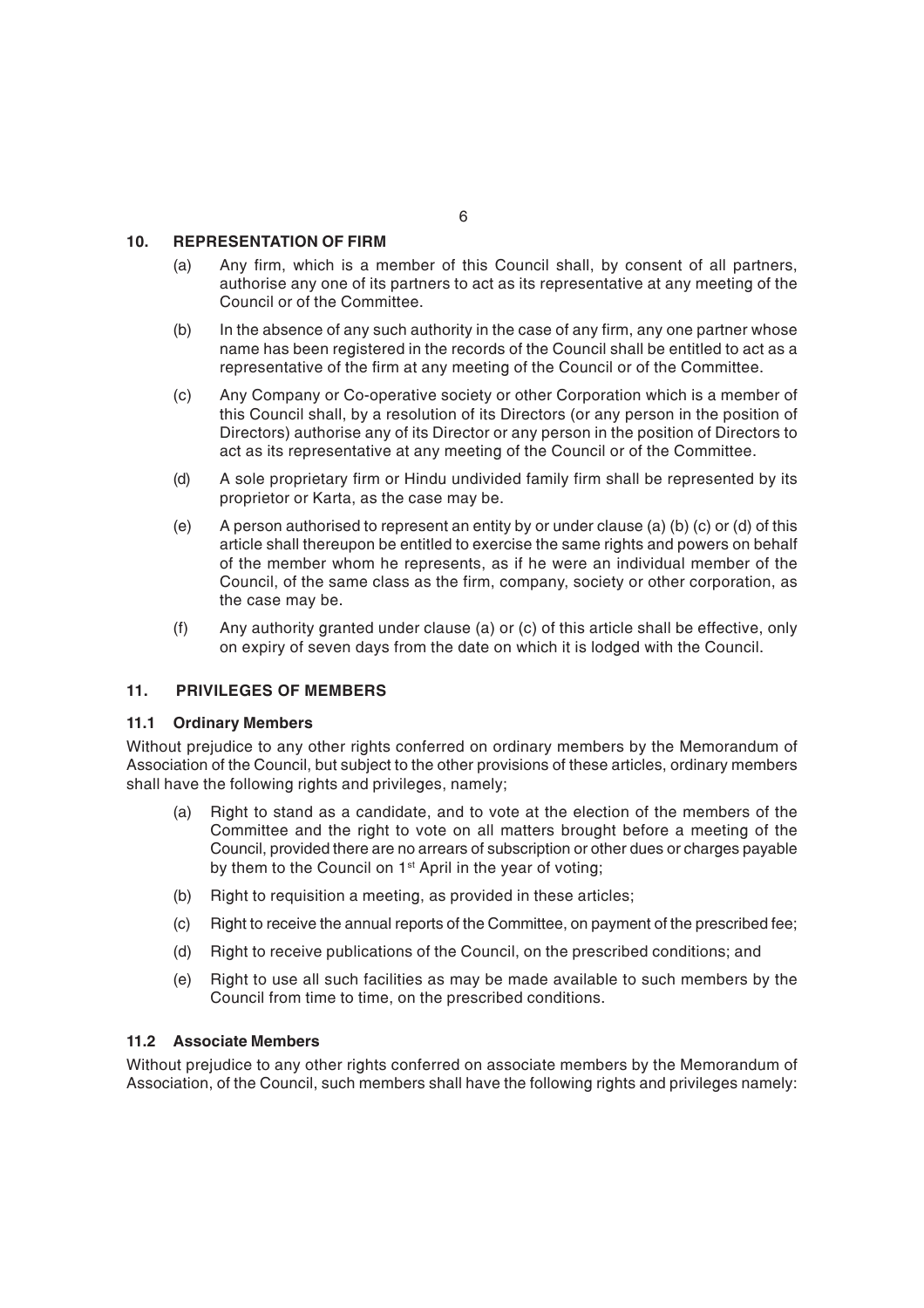### **10. REPRESENTATION OF FIRM**

- (a) Any firm, which is a member of this Council shall, by consent of all partners, authorise any one of its partners to act as its representative at any meeting of the Council or of the Committee.
- (b) In the absence of any such authority in the case of any firm, any one partner whose name has been registered in the records of the Council shall be entitled to act as a representative of the firm at any meeting of the Council or of the Committee.
- (c) Any Company or Co-operative society or other Corporation which is a member of this Council shall, by a resolution of its Directors (or any person in the position of Directors) authorise any of its Director or any person in the position of Directors to act as its representative at any meeting of the Council or of the Committee.
- (d) A sole proprietary firm or Hindu undivided family firm shall be represented by its proprietor or Karta, as the case may be.
- (e) A person authorised to represent an entity by or under clause (a) (b) (c) or (d) of this article shall thereupon be entitled to exercise the same rights and powers on behalf of the member whom he represents, as if he were an individual member of the Council, of the same class as the firm, company, society or other corporation, as the case may be.
- (f) Any authority granted under clause (a) or (c) of this article shall be effective, only on expiry of seven days from the date on which it is lodged with the Council.

## **11. PRIVILEGES OF MEMBERS**

#### **11.1 Ordinary Members**

Without prejudice to any other rights conferred on ordinary members by the Memorandum of Association of the Council, but subject to the other provisions of these articles, ordinary members shall have the following rights and privileges, namely;

- (a) Right to stand as a candidate, and to vote at the election of the members of the Committee and the right to vote on all matters brought before a meeting of the Council, provided there are no arrears of subscription or other dues or charges payable by them to the Council on 1<sup>st</sup> April in the year of voting;
- (b) Right to requisition a meeting, as provided in these articles;
- (c) Right to receive the annual reports of the Committee, on payment of the prescribed fee;
- (d) Right to receive publications of the Council, on the prescribed conditions; and
- (e) Right to use all such facilities as may be made available to such members by the Council from time to time, on the prescribed conditions.

#### **11.2 Associate Members**

Without prejudice to any other rights conferred on associate members by the Memorandum of Association, of the Council, such members shall have the following rights and privileges namely: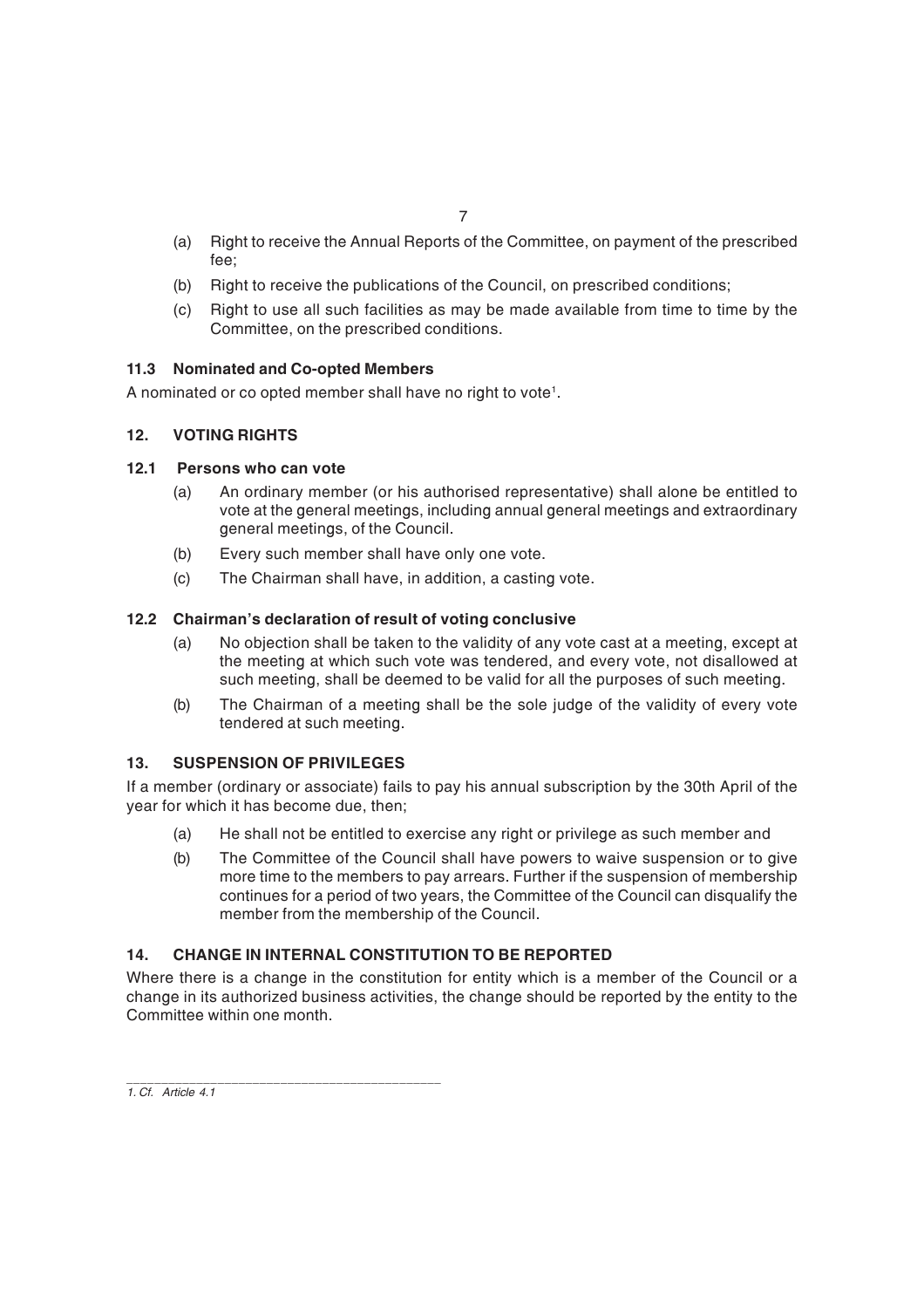- (a) Right to receive the Annual Reports of the Committee, on payment of the prescribed fee;
- (b) Right to receive the publications of the Council, on prescribed conditions;
- (c) Right to use all such facilities as may be made available from time to time by the Committee, on the prescribed conditions.

## **11.3 Nominated and Co-opted Members**

A nominated or co opted member shall have no right to vote $^{\rm 1}.$ 

# **12. VOTING RIGHTS**

## **12.1 Persons who can vote**

- (a) An ordinary member (or his authorised representative) shall alone be entitled to vote at the general meetings, including annual general meetings and extraordinary general meetings, of the Council.
- (b) Every such member shall have only one vote.
- (c) The Chairman shall have, in addition, a casting vote.

## **12.2 Chairman's declaration of result of voting conclusive**

- (a) No objection shall be taken to the validity of any vote cast at a meeting, except at the meeting at which such vote was tendered, and every vote, not disallowed at such meeting, shall be deemed to be valid for all the purposes of such meeting.
- (b) The Chairman of a meeting shall be the sole judge of the validity of every vote tendered at such meeting.

## **13. SUSPENSION OF PRIVILEGES**

If a member (ordinary or associate) fails to pay his annual subscription by the 30th April of the year for which it has become due, then;

- (a) He shall not be entitled to exercise any right or privilege as such member and
- (b) The Committee of the Council shall have powers to waive suspension or to give more time to the members to pay arrears. Further if the suspension of membership continues for a period of two years, the Committee of the Council can disqualify the member from the membership of the Council.

## **14. CHANGE IN INTERNAL CONSTITUTION TO BE REPORTED**

Where there is a change in the constitution for entity which is a member of the Council or a change in its authorized business activities, the change should be reported by the entity to the Committee within one month.

\_\_\_\_\_\_\_\_\_\_\_\_\_\_\_\_\_\_\_\_\_\_\_\_\_\_\_\_\_\_\_\_\_\_\_\_\_\_\_\_\_\_\_\_\_ *1. Cf. Article 4.1*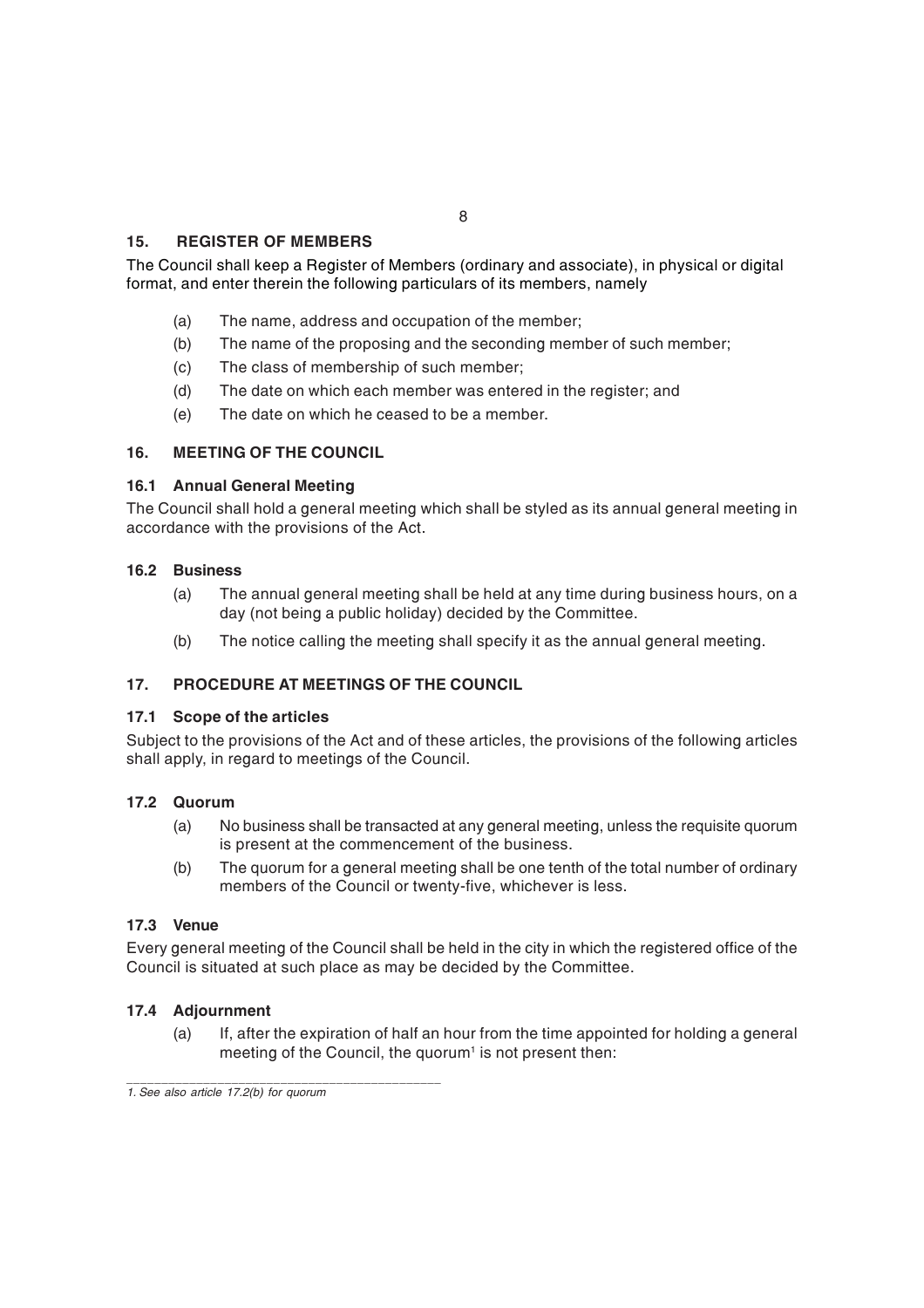# 8

## **15. REGISTER OF MEMBERS**

The Council shall keep a Register of Members (ordinary and associate), in physical or digital format, and enter therein the following particulars of its members, namely

- (a) The name, address and occupation of the member;
- (b) The name of the proposing and the seconding member of such member;
- (c) The class of membership of such member;
- (d) The date on which each member was entered in the register; and
- (e) The date on which he ceased to be a member.

## **16. MEETING OF THE COUNCIL**

## **16.1 Annual General Meeting**

The Council shall hold a general meeting which shall be styled as its annual general meeting in accordance with the provisions of the Act.

#### **16.2 Business**

- (a) The annual general meeting shall be held at any time during business hours, on a day (not being a public holiday) decided by the Committee.
- (b) The notice calling the meeting shall specify it as the annual general meeting.

## **17. PROCEDURE AT MEETINGS OF THE COUNCIL**

#### **17.1 Scope of the articles**

Subject to the provisions of the Act and of these articles, the provisions of the following articles shall apply, in regard to meetings of the Council.

#### **17.2 Quorum**

- (a) No business shall be transacted at any general meeting, unless the requisite quorum is present at the commencement of the business.
- (b) The quorum for a general meeting shall be one tenth of the total number of ordinary members of the Council or twenty-five, whichever is less.

## **17.3 Venue**

Every general meeting of the Council shall be held in the city in which the registered office of the Council is situated at such place as may be decided by the Committee.

## **17.4 Adjournment**

(a) If, after the expiration of half an hour from the time appointed for holding a general meeting of the Council, the quorum<sup>1</sup> is not present then:

\_\_\_\_\_\_\_\_\_\_\_\_\_\_\_\_\_\_\_\_\_\_\_\_\_\_\_\_\_\_\_\_\_\_\_\_\_\_\_\_\_\_\_\_\_

*<sup>1.</sup> See also article 17.2(b) for quorum*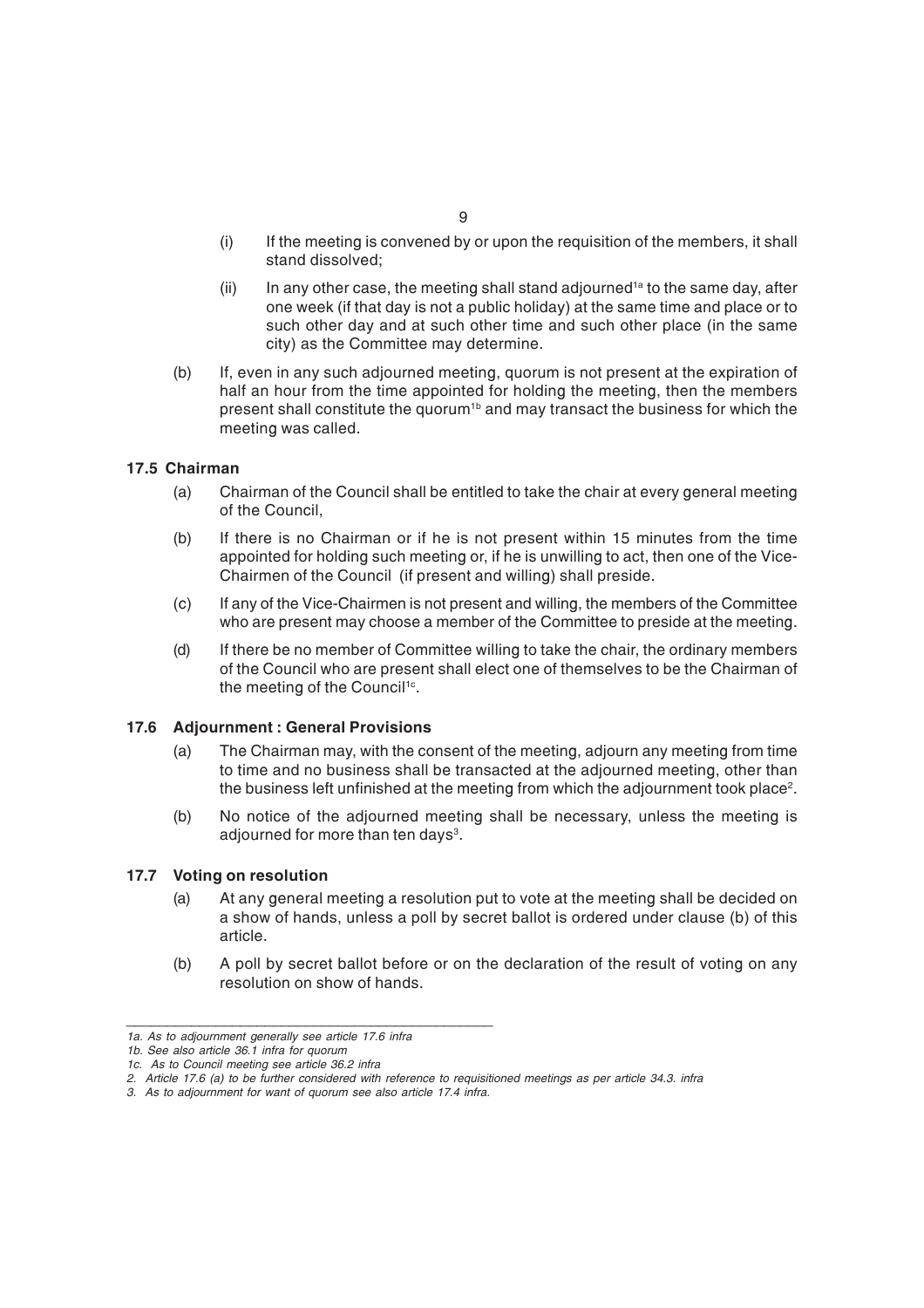- (i) If the meeting is convened by or upon the requisition of the members, it shall stand dissolved;
- (ii) In any other case, the meeting shall stand adjourned<sup>1a</sup> to the same day, after one week (if that day is not a public holiday) at the same time and place or to such other day and at such other time and such other place (in the same city) as the Committee may determine.
- (b) If, even in any such adjourned meeting, quorum is not present at the expiration of half an hour from the time appointed for holding the meeting, then the members present shall constitute the quorum<sup>1b</sup> and may transact the business for which the meeting was called.

## **17.5 Chairman**

- (a) Chairman of the Council shall be entitled to take the chair at every general meeting of the Council,
- (b) If there is no Chairman or if he is not present within 15 minutes from the time appointed for holding such meeting or, if he is unwilling to act, then one of the Vice-Chairmen of the Council (if present and willing) shall preside.
- (c) If any of the Vice-Chairmen is not present and willing, the members of the Committee who are present may choose a member of the Committee to preside at the meeting.
- (d) If there be no member of Committee willing to take the chair, the ordinary members of the Council who are present shall elect one of themselves to be the Chairman of the meeting of the Council<sup>1c</sup>.

#### **17.6 Adjournment : General Provisions**

- (a) The Chairman may, with the consent of the meeting, adjourn any meeting from time to time and no business shall be transacted at the adjourned meeting, other than the business left unfinished at the meeting from which the adjournment took place $^{\text{2}}.$
- (b) No notice of the adjourned meeting shall be necessary, unless the meeting is adjourned for more than ten days $^{\rm 3}.$

#### **17.7 Voting on resolution**

- (a) At any general meeting a resolution put to vote at the meeting shall be decided on a show of hands, unless a poll by secret ballot is ordered under clause (b) of this article.
- (b) A poll by secret ballot before or on the declaration of the result of voting on any resolution on show of hands.

*\_\_\_\_\_\_\_\_\_\_\_\_\_\_\_\_\_\_\_\_\_\_\_\_\_\_\_\_\_\_\_\_\_\_\_\_\_\_\_\_\_\_\_\_\_*

*<sup>1</sup>a. As to adjournment generally see article 17.6 infra*

*<sup>1</sup>b. See also article 36.1 infra for quorum*

*<sup>1</sup>c. As to Council meeting see article 36.2 infra*

*<sup>2.</sup> Article 17.6 (a) to be further considered with reference to requisitioned meetings as per article 34.3. infra*

*<sup>3.</sup> As to adjournment for want of quorum see also article 17.4 infra.*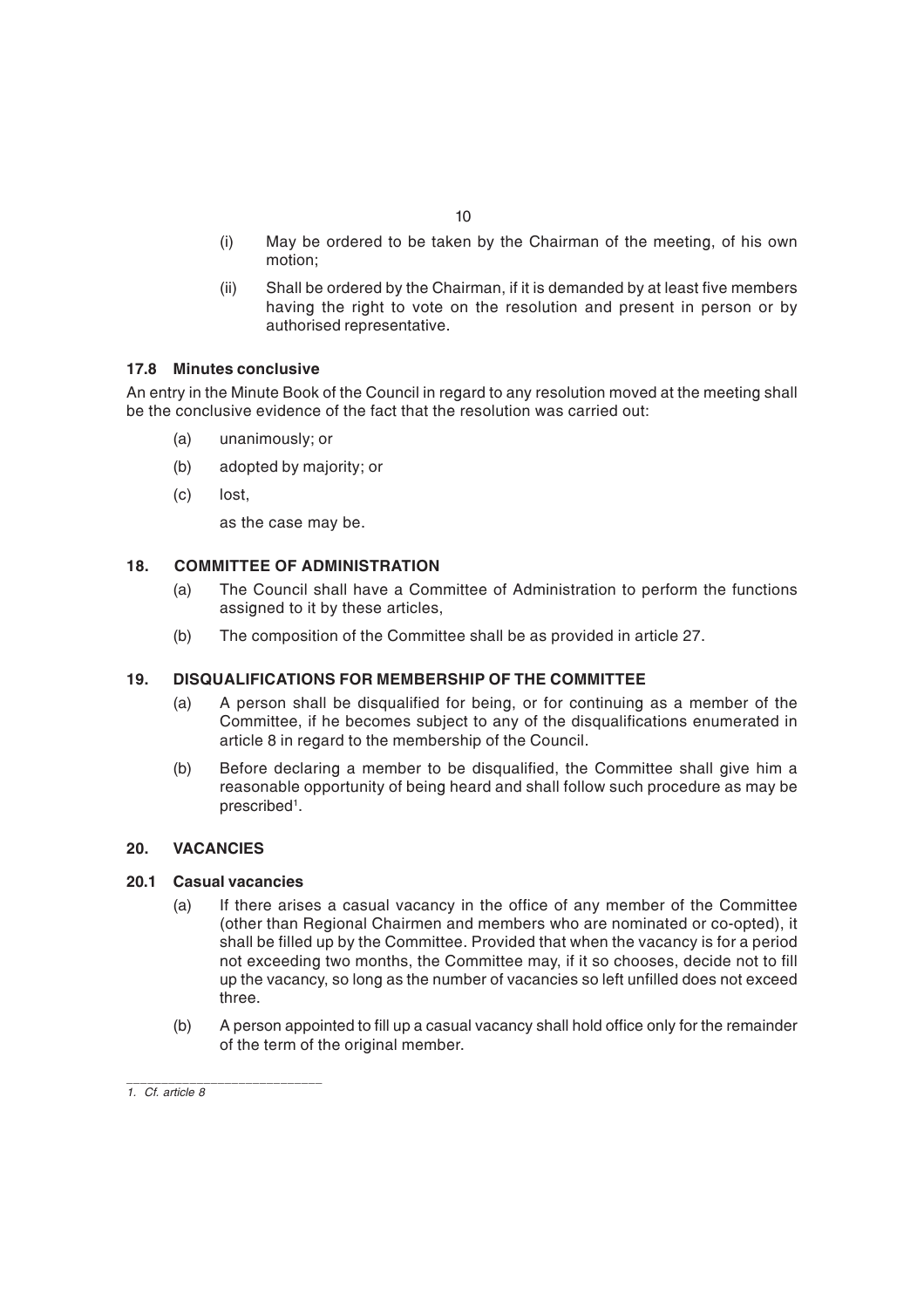- (i) May be ordered to be taken by the Chairman of the meeting, of his own motion;
- (ii) Shall be ordered by the Chairman, if it is demanded by at least five members having the right to vote on the resolution and present in person or by authorised representative.

## **17.8 Minutes conclusive**

An entry in the Minute Book of the Council in regard to any resolution moved at the meeting shall be the conclusive evidence of the fact that the resolution was carried out:

- (a) unanimously; or
- (b) adopted by majority; or
- (c) lost,

as the case may be.

# **18. COMMITTEE OF ADMINISTRATION**

- (a) The Council shall have a Committee of Administration to perform the functions assigned to it by these articles,
- (b) The composition of the Committee shall be as provided in article 27.

# **19. DISQUALIFICATIONS FOR MEMBERSHIP OF THE COMMITTEE**

- (a) A person shall be disqualified for being, or for continuing as a member of the Committee, if he becomes subject to any of the disqualifications enumerated in article 8 in regard to the membership of the Council.
- (b) Before declaring a member to be disqualified, the Committee shall give him a reasonable opportunity of being heard and shall follow such procedure as may be prescribed<sup>1</sup>.

# **20. VACANCIES**

## **20.1 Casual vacancies**

- (a) If there arises a casual vacancy in the office of any member of the Committee (other than Regional Chairmen and members who are nominated or co-opted), it shall be filled up by the Committee. Provided that when the vacancy is for a period not exceeding two months, the Committee may, if it so chooses, decide not to fill up the vacancy, so long as the number of vacancies so left unfilled does not exceed three.
- (b) A person appointed to fill up a casual vacancy shall hold office only for the remainder of the term of the original member.

\_\_\_\_\_\_\_\_\_\_\_\_\_\_\_\_\_\_\_\_\_\_\_\_\_\_\_\_ *1. Cf. article 8*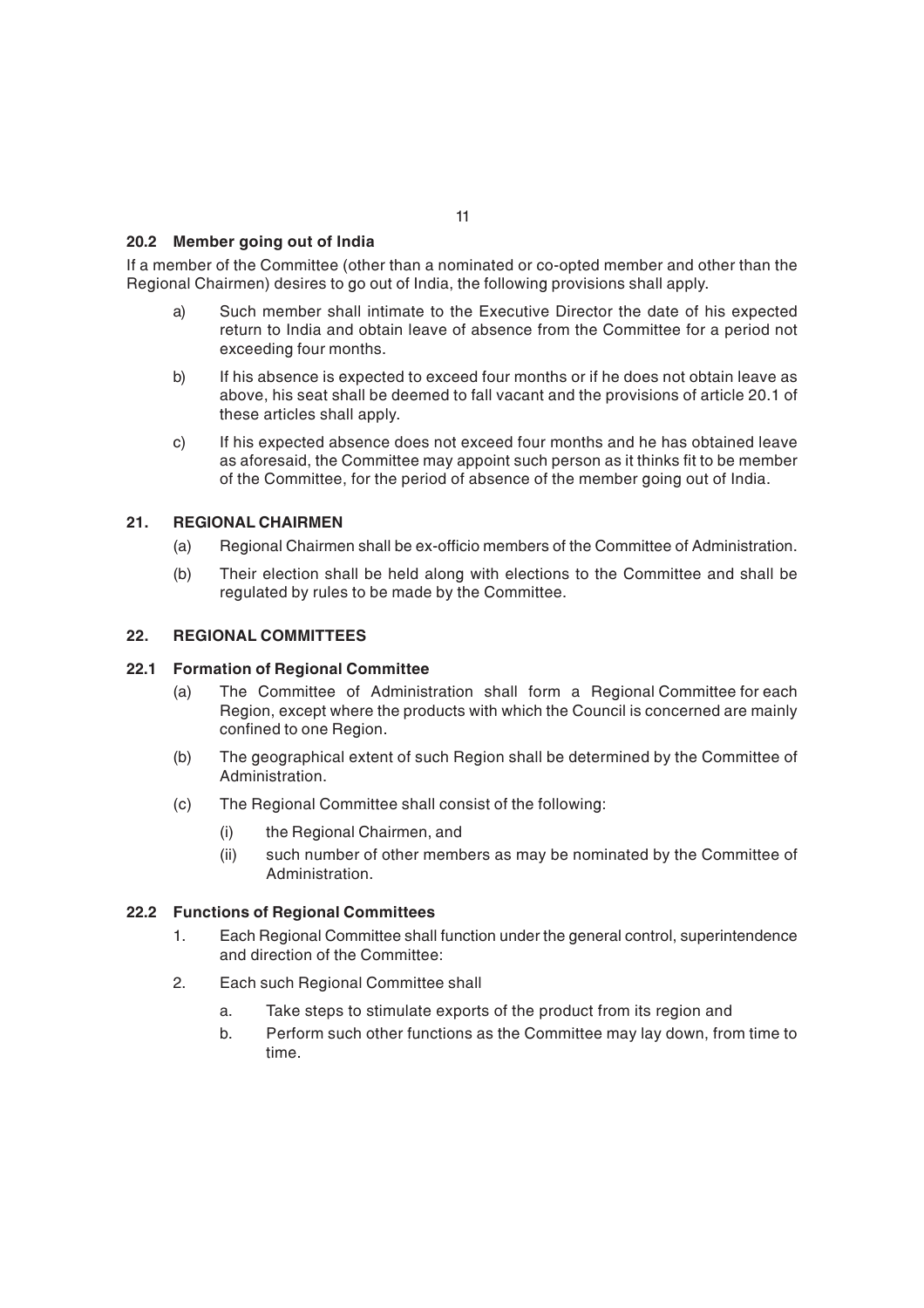## **20.2 Member going out of India**

If a member of the Committee (other than a nominated or co-opted member and other than the Regional Chairmen) desires to go out of India, the following provisions shall apply.

- a) Such member shall intimate to the Executive Director the date of his expected return to India and obtain leave of absence from the Committee for a period not exceeding four months.
- b) If his absence is expected to exceed four months or if he does not obtain leave as above, his seat shall be deemed to fall vacant and the provisions of article 20.1 of these articles shall apply.
- c) If his expected absence does not exceed four months and he has obtained leave as aforesaid, the Committee may appoint such person as it thinks fit to be member of the Committee, for the period of absence of the member going out of India.

#### **21. REGIONAL CHAIRMEN**

- (a) Regional Chairmen shall be ex-officio members of the Committee of Administration.
- (b) Their election shall be held along with elections to the Committee and shall be regulated by rules to be made by the Committee.

## **22. REGIONAL COMMITTEES**

#### **22.1 Formation of Regional Committee**

- (a) The Committee of Administration shall form a Regional Committee for each Region, except where the products with which the Council is concerned are mainly confined to one Region.
- (b) The geographical extent of such Region shall be determined by the Committee of Administration.
- (c) The Regional Committee shall consist of the following:
	- (i) the Regional Chairmen, and
	- (ii) such number of other members as may be nominated by the Committee of Administration.

#### **22.2 Functions of Regional Committees**

- 1. Each Regional Committee shall function under the general control, superintendence and direction of the Committee:
- 2. Each such Regional Committee shall
	- a. Take steps to stimulate exports of the product from its region and
	- b. Perform such other functions as the Committee may lay down, from time to time.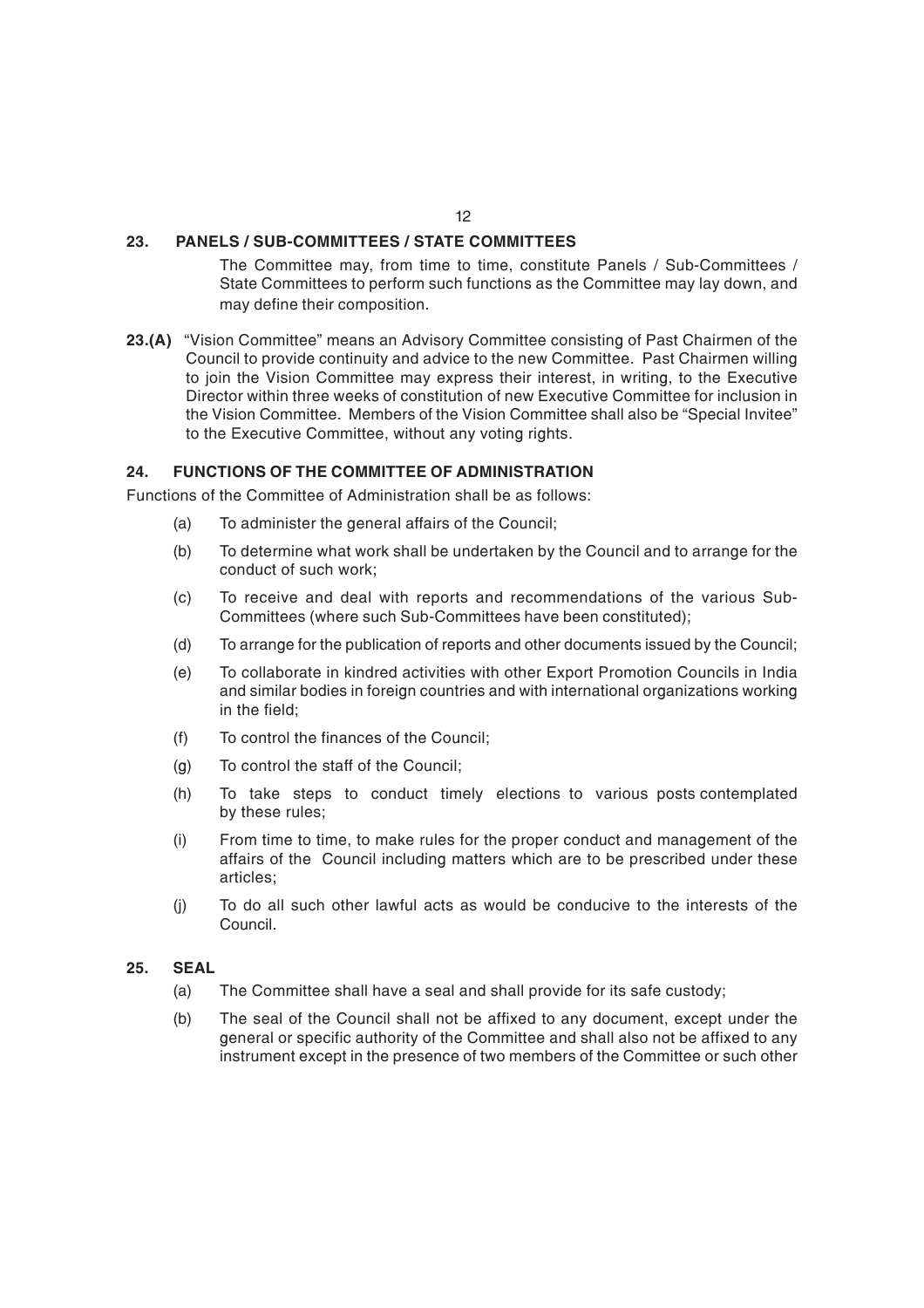## **23. PANELS / SUB-COMMITTEES / STATE COMMITTEES**

The Committee may, from time to time, constitute Panels / Sub-Committees / State Committees to perform such functions as the Committee may lay down, and may define their composition.

**23.(A)** "Vision Committee" means an Advisory Committee consisting of Past Chairmen of the Council to provide continuity and advice to the new Committee. Past Chairmen willing to join the Vision Committee may express their interest, in writing, to the Executive Director within three weeks of constitution of new Executive Committee for inclusion in the Vision Committee. Members of the Vision Committee shall also be "Special Invitee" to the Executive Committee, without any voting rights.

## **24. FUNCTIONS OF THE COMMITTEE OF ADMINISTRATION**

Functions of the Committee of Administration shall be as follows:

- (a) To administer the general affairs of the Council;
- (b) To determine what work shall be undertaken by the Council and to arrange for the conduct of such work;
- (c) To receive and deal with reports and recommendations of the various Sub-Committees (where such Sub-Committees have been constituted);
- (d) To arrange for the publication of reports and other documents issued by the Council;
- (e) To collaborate in kindred activities with other Export Promotion Councils in India and similar bodies in foreign countries and with international organizations working in the field;
- (f) To control the finances of the Council;
- (g) To control the staff of the Council;
- (h) To take steps to conduct timely elections to various posts contemplated by these rules;
- (i) From time to time, to make rules for the proper conduct and management of the affairs of the Council including matters which are to be prescribed under these articles;
- (j) To do all such other lawful acts as would be conducive to the interests of the Council.

#### **25. SEAL**

- (a) The Committee shall have a seal and shall provide for its safe custody;
- (b) The seal of the Council shall not be affixed to any document, except under the general or specific authority of the Committee and shall also not be affixed to any instrument except in the presence of two members of the Committee or such other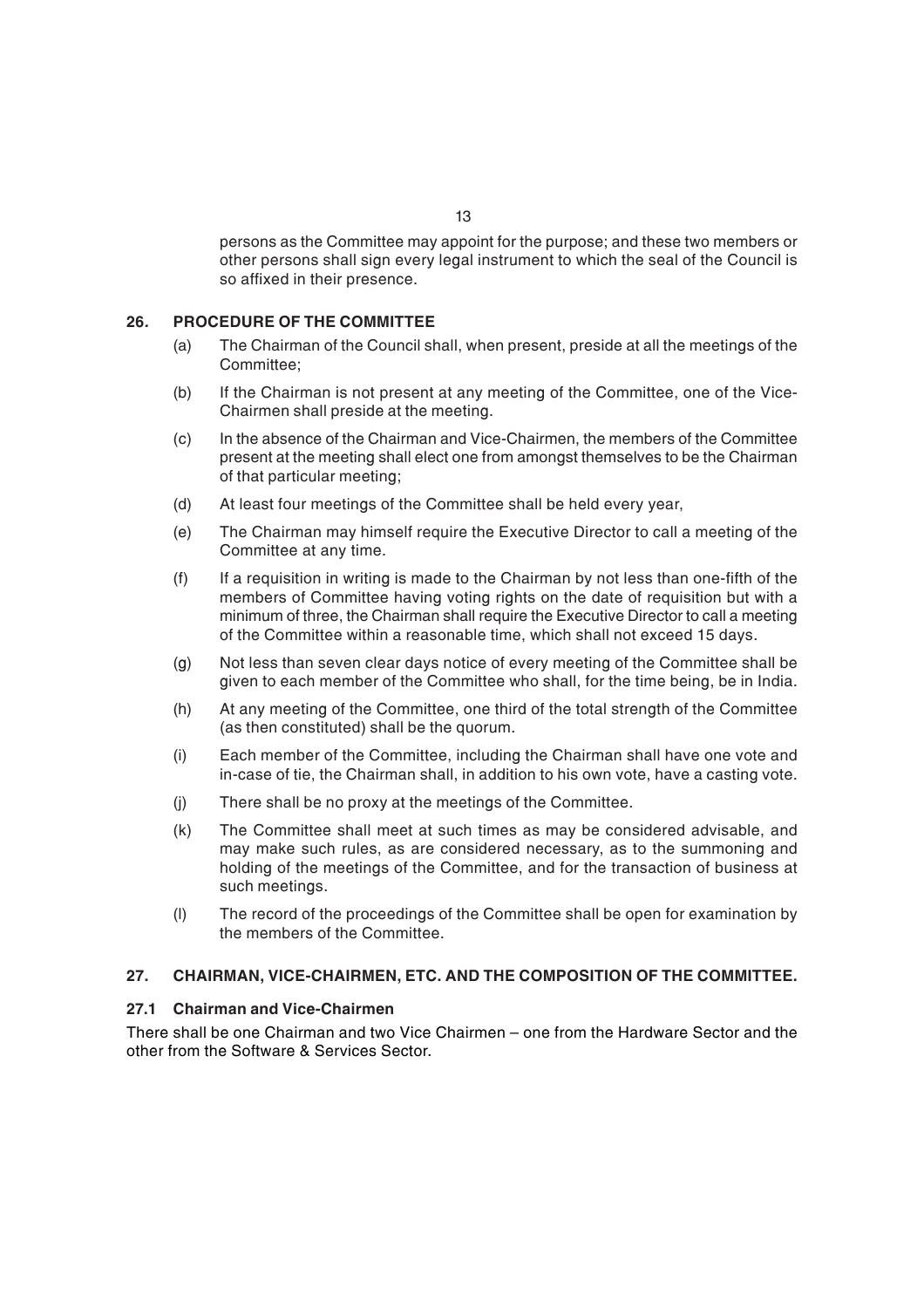persons as the Committee may appoint for the purpose; and these two members or other persons shall sign every legal instrument to which the seal of the Council is so affixed in their presence.

## **26***.* **PROCEDURE OF THE COMMITTEE**

- (a) The Chairman of the Council shall, when present, preside at all the meetings of the Committee;
- (b) If the Chairman is not present at any meeting of the Committee, one of the Vice-Chairmen shall preside at the meeting.
- (c) In the absence of the Chairman and Vice-Chairmen, the members of the Committee present at the meeting shall elect one from amongst themselves to be the Chairman of that particular meeting;
- (d) At least four meetings of the Committee shall be held every year,
- (e) The Chairman may himself require the Executive Director to call a meeting of the Committee at any time.
- (f) If a requisition in writing is made to the Chairman by not less than one-fifth of the members of Committee having voting rights on the date of requisition but with a minimum of three, the Chairman shall require the Executive Director to call a meeting of the Committee within a reasonable time, which shall not exceed 15 days.
- (g) Not less than seven clear days notice of every meeting of the Committee shall be given to each member of the Committee who shall, for the time being, be in India.
- (h) At any meeting of the Committee, one third of the total strength of the Committee (as then constituted) shall be the quorum.
- (i) Each member of the Committee, including the Chairman shall have one vote and in-case of tie, the Chairman shall, in addition to his own vote, have a casting vote.
- (j) There shall be no proxy at the meetings of the Committee.
- (k) The Committee shall meet at such times as may be considered advisable, and may make such rules, as are considered necessary, as to the summoning and holding of the meetings of the Committee, and for the transaction of business at such meetings.
- (l) The record of the proceedings of the Committee shall be open for examination by the members of the Committee.

## **27. CHAIRMAN, VICE-CHAIRMEN, ETC. AND THE COMPOSITION OF THE COMMITTEE.**

#### **27.1 Chairman and Vice-Chairmen**

There shall be one Chairman and two Vice Chairmen – one from the Hardware Sector and the other from the Software & Services Sector.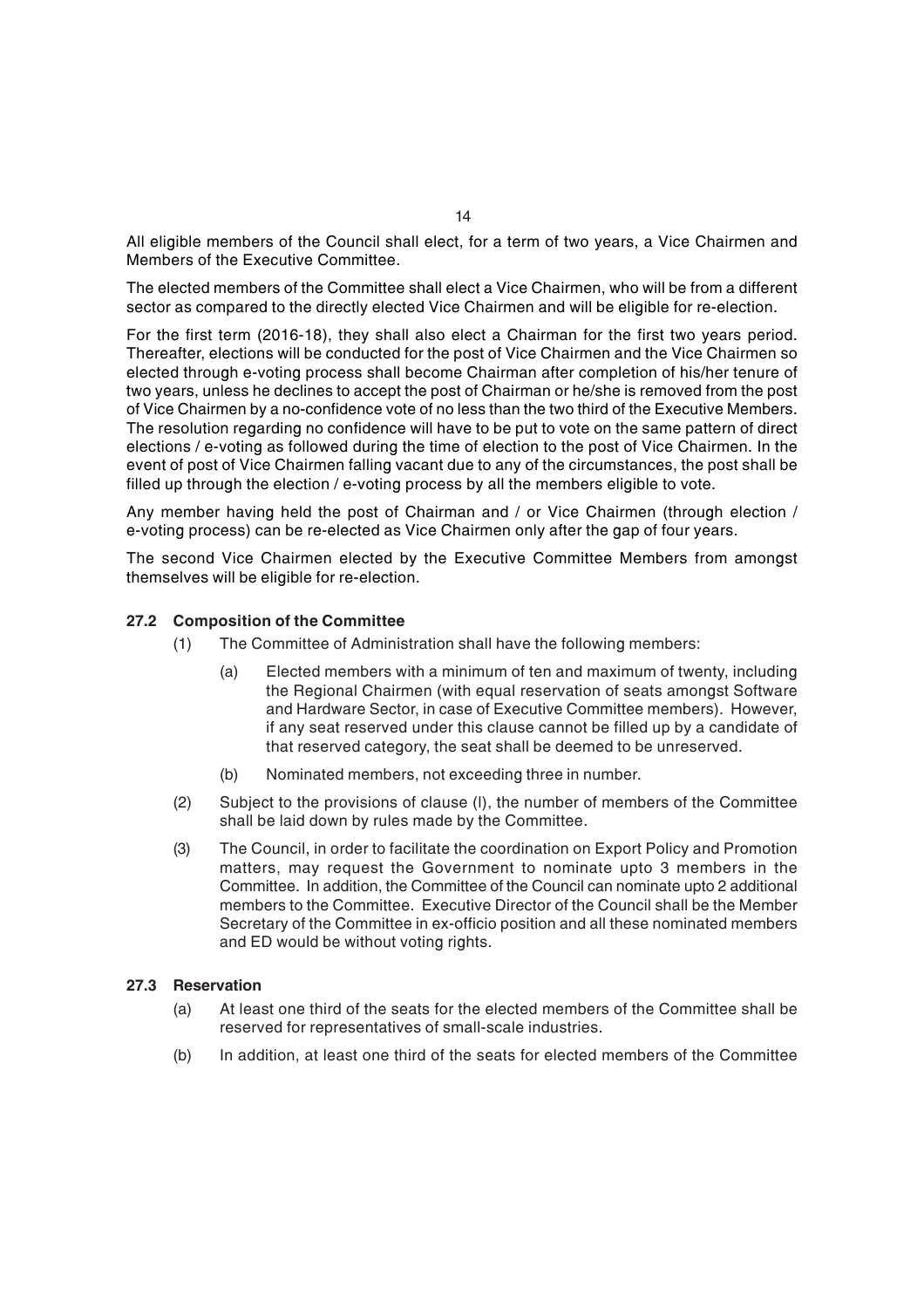All eligible members of the Council shall elect, for a term of two years, a Vice Chairmen and Members of the Executive Committee.

The elected members of the Committee shall elect a Vice Chairmen, who will be from a different sector as compared to the directly elected Vice Chairmen and will be eligible for re-election.

For the first term (2016-18), they shall also elect a Chairman for the first two years period. Thereafter, elections will be conducted for the post of Vice Chairmen and the Vice Chairmen so elected through e-voting process shall become Chairman after completion of his/her tenure of two years, unless he declines to accept the post of Chairman or he/she is removed from the post of Vice Chairmen by a no-confidence vote of no less than the two third of the Executive Members. The resolution regarding no confidence will have to be put to vote on the same pattern of direct elections / e-voting as followed during the time of election to the post of Vice Chairmen. In the event of post of Vice Chairmen falling vacant due to any of the circumstances, the post shall be filled up through the election / e-voting process by all the members eligible to vote.

Any member having held the post of Chairman and / or Vice Chairmen (through election / e-voting process) can be re-elected as Vice Chairmen only after the gap of four years.

The second Vice Chairmen elected by the Executive Committee Members from amongst themselves will be eligible for re-election.

## **27.2 Composition of the Committee**

- (1) The Committee of Administration shall have the following members:
	- (a) Elected members with a minimum of ten and maximum of twenty, including the Regional Chairmen (with equal reservation of seats amongst Software and Hardware Sector, in case of Executive Committee members). However, if any seat reserved under this clause cannot be filled up by a candidate of that reserved category, the seat shall be deemed to be unreserved.
	- (b) Nominated members, not exceeding three in number.
- (2) Subject to the provisions of clause (l), the number of members of the Committee shall be laid down by rules made by the Committee.
- (3) The Council, in order to facilitate the coordination on Export Policy and Promotion matters, may request the Government to nominate upto 3 members in the Committee. In addition, the Committee of the Council can nominate upto 2 additional members to the Committee. Executive Director of the Council shall be the Member Secretary of the Committee in ex-officio position and all these nominated members and ED would be without voting rights.

#### **27.3 Reservation**

- (a) At least one third of the seats for the elected members of the Committee shall be reserved for representatives of small-scale industries.
- (b) In addition, at least one third of the seats for elected members of the Committee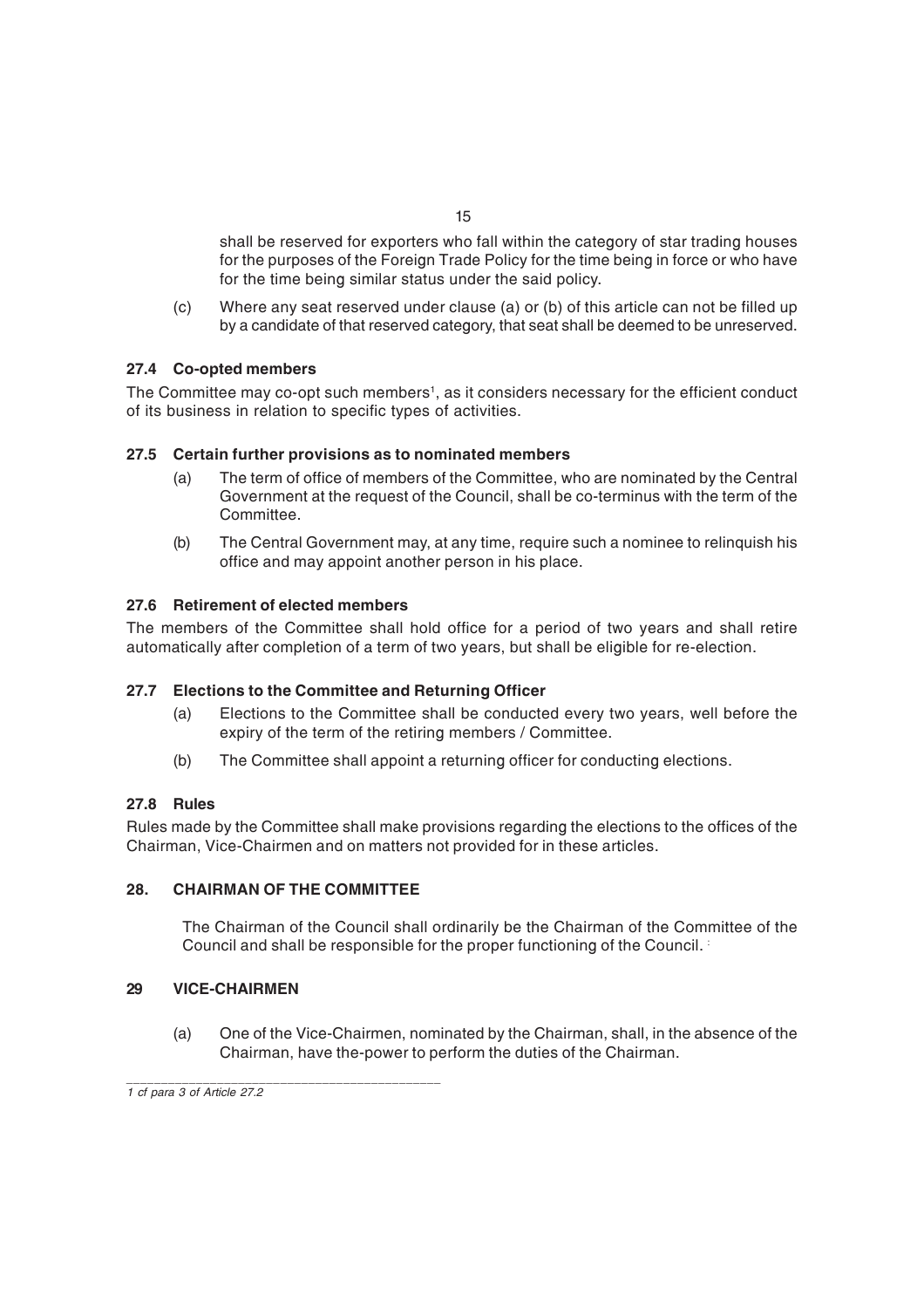shall be reserved for exporters who fall within the category of star trading houses for the purposes of the Foreign Trade Policy for the time being in force or who have for the time being similar status under the said policy.

(c) Where any seat reserved under clause (a) or (b) of this article can not be filled up by a candidate of that reserved category, that seat shall be deemed to be unreserved.

## **27.4 Co-opted members**

The Committee may co-opt such members<sup>1</sup>, as it considers necessary for the efficient conduct of its business in relation to specific types of activities.

## **27.5 Certain further provisions as to nominated members**

- (a) The term of office of members of the Committee, who are nominated by the Central Government at the request of the Council, shall be co-terminus with the term of the Committee.
- (b) The Central Government may, at any time, require such a nominee to relinquish his office and may appoint another person in his place.

## **27.6 Retirement of elected members**

The members of the Committee shall hold office for a period of two years and shall retire automatically after completion of a term of two years, but shall be eligible for re-election.

#### **27.7 Elections to the Committee and Returning Officer**

- (a) Elections to the Committee shall be conducted every two years, well before the expiry of the term of the retiring members / Committee.
- (b) The Committee shall appoint a returning officer for conducting elections.

#### **27.8 Rules**

Rules made by the Committee shall make provisions regarding the elections to the offices of the Chairman, Vice-Chairmen and on matters not provided for in these articles.

#### **28. CHAIRMAN OF THE COMMITTEE**

The Chairman of the Council shall ordinarily be the Chairman of the Committee of the Council and shall be responsible for the proper functioning of the Council. :

#### **29 VICE-CHAIRMEN**

(a) One of the Vice-Chairmen, nominated by the Chairman, shall, in the absence of the Chairman, have the-power to perform the duties of the Chairman.

*\_\_\_\_\_\_\_\_\_\_\_\_\_\_\_\_\_\_\_\_\_\_\_\_\_\_\_\_\_\_\_\_\_\_\_\_\_\_\_\_\_\_\_\_\_ 1 cf para 3 of Article 27.2*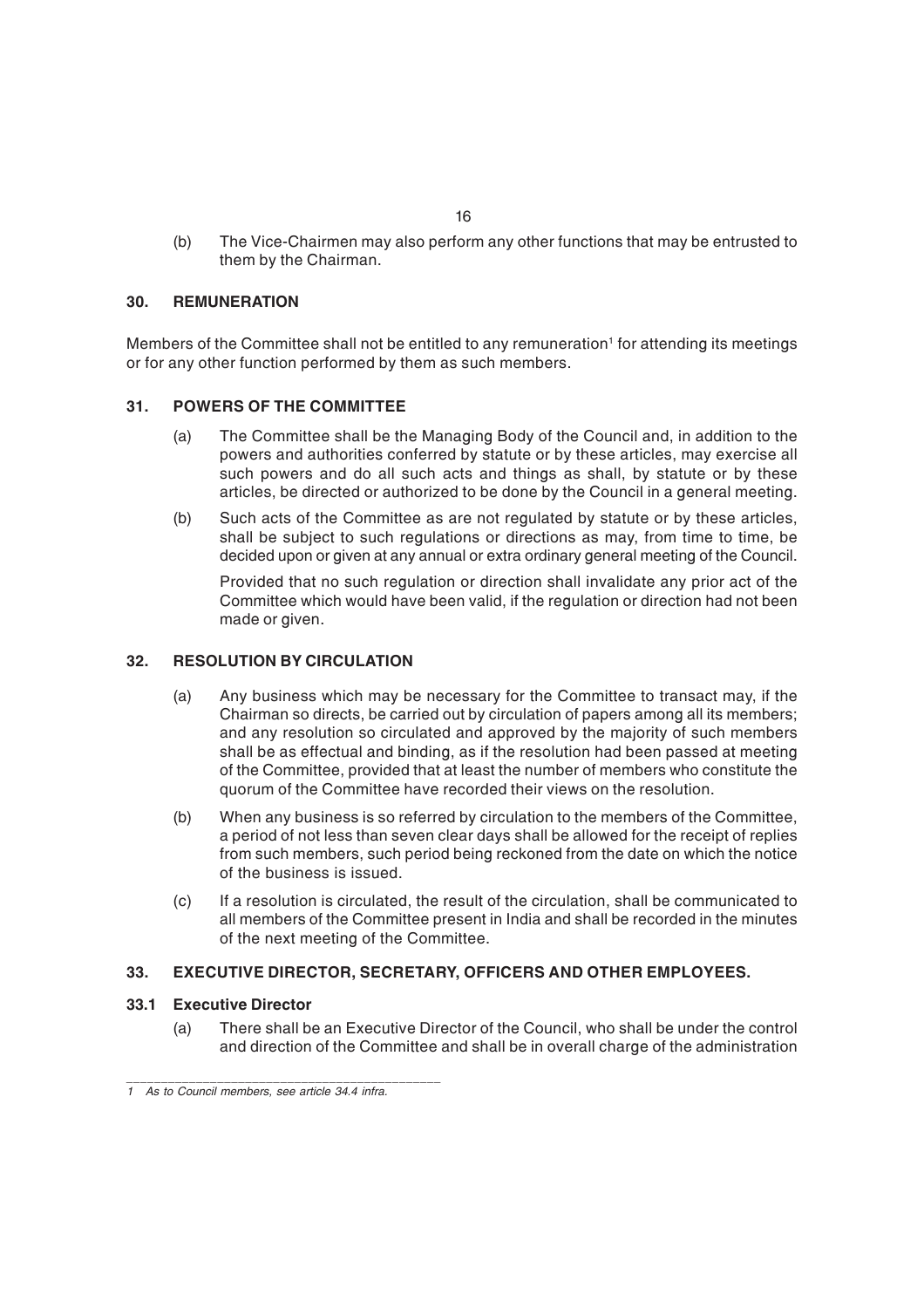(b) The Vice-Chairmen may also perform any other functions that may be entrusted to them by the Chairman.

## **30. REMUNERATION**

Members of the Committee shall not be entitled to any remuneration $^{\rm t}$  for attending its meetings or for any other function performed by them as such members.

## **31. POWERS OF THE COMMITTEE**

- (a) The Committee shall be the Managing Body of the Council and, in addition to the powers and authorities conferred by statute or by these articles, may exercise all such powers and do all such acts and things as shall, by statute or by these articles, be directed or authorized to be done by the Council in a general meeting.
- (b) Such acts of the Committee as are not regulated by statute or by these articles, shall be subject to such regulations or directions as may, from time to time, be decided upon or given at any annual or extra ordinary general meeting of the Council.

Provided that no such regulation or direction shall invalidate any prior act of the Committee which would have been valid, if the regulation or direction had not been made or given.

### **32. RESOLUTION BY CIRCULATION**

- (a) Any business which may be necessary for the Committee to transact may, if the Chairman so directs, be carried out by circulation of papers among all its members; and any resolution so circulated and approved by the majority of such members shall be as effectual and binding, as if the resolution had been passed at meeting of the Committee, provided that at least the number of members who constitute the quorum of the Committee have recorded their views on the resolution.
- (b) When any business is so referred by circulation to the members of the Committee, a period of not less than seven clear days shall be allowed for the receipt of replies from such members, such period being reckoned from the date on which the notice of the business is issued.
- (c) If a resolution is circulated, the result of the circulation, shall be communicated to all members of the Committee present in India and shall be recorded in the minutes of the next meeting of the Committee.

#### **33. EXECUTIVE DIRECTOR, SECRETARY, OFFICERS AND OTHER EMPLOYEES.**

#### **33.1 Executive Director**

(a) There shall be an Executive Director of the Council, who shall be under the control and direction of the Committee and shall be in overall charge of the administration

*\_\_\_\_\_\_\_\_\_\_\_\_\_\_\_\_\_\_\_\_\_\_\_\_\_\_\_\_\_\_\_\_\_\_\_\_\_\_\_\_\_\_\_\_\_*

*<sup>1</sup> As to Council members, see article 34.4 infra.*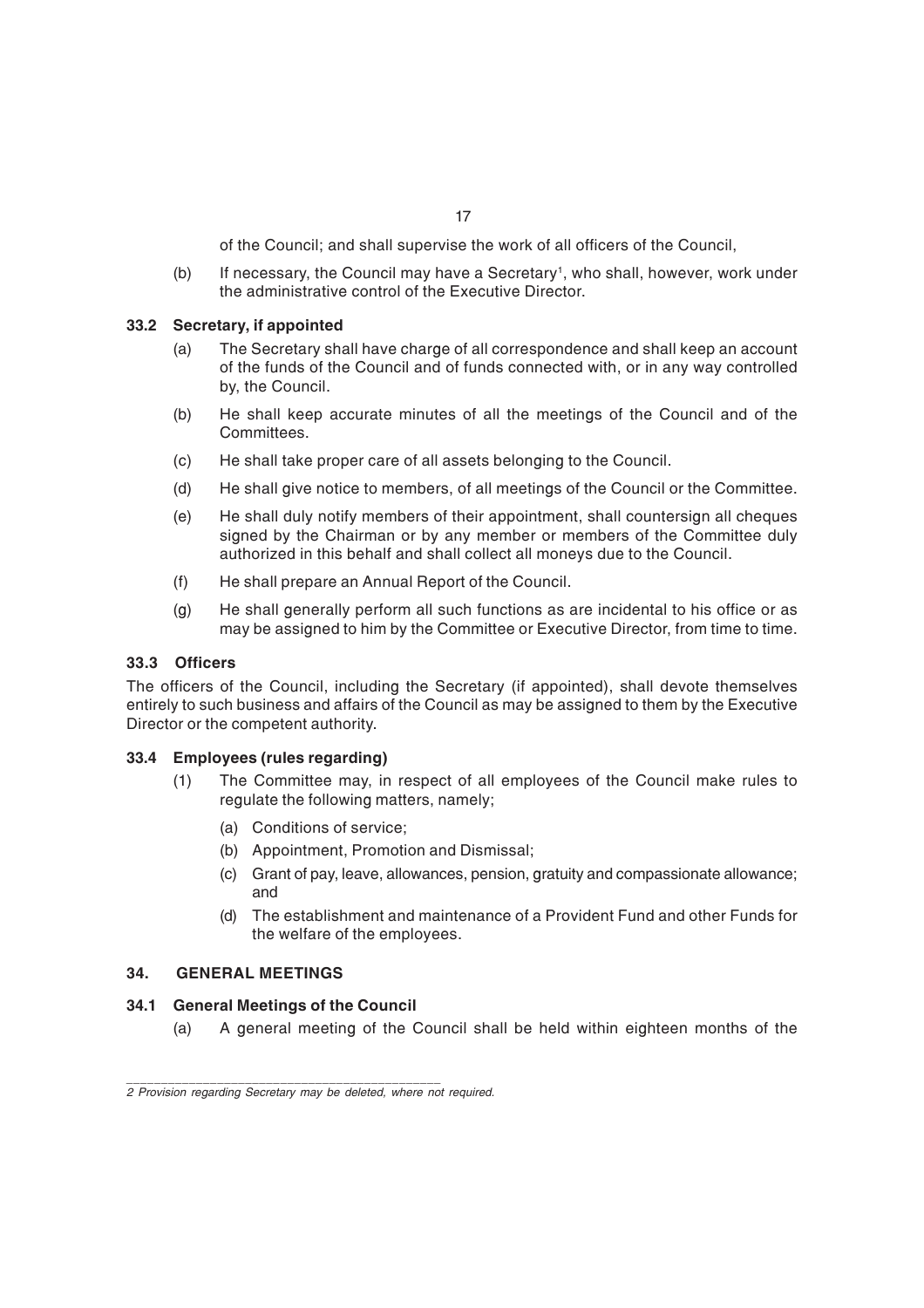of the Council; and shall supervise the work of all officers of the Council,

(b) If necessary, the Council may have a Secretary<sup>1</sup>, who shall, however, work under the administrative control of the Executive Director.

#### **33.2 Secretary, if appointed**

- (a) The Secretary shall have charge of all correspondence and shall keep an account of the funds of the Council and of funds connected with, or in any way controlled by, the Council.
- (b) He shall keep accurate minutes of all the meetings of the Council and of the Committees.
- (c) He shall take proper care of all assets belonging to the Council.
- (d) He shall give notice to members, of all meetings of the Council or the Committee.
- (e) He shall duly notify members of their appointment, shall countersign all cheques signed by the Chairman or by any member or members of the Committee duly authorized in this behalf and shall collect all moneys due to the Council.
- (f) He shall prepare an Annual Report of the Council.
- (g) He shall generally perform all such functions as are incidental to his office or as may be assigned to him by the Committee or Executive Director, from time to time.

#### **33.3 Officers**

The officers of the Council, including the Secretary (if appointed), shall devote themselves entirely to such business and affairs of the Council as may be assigned to them by the Executive Director or the competent authority.

#### **33.4 Employees (rules regarding)**

- (1) The Committee may, in respect of all employees of the Council make rules to regulate the following matters, namely;
	- (a) Conditions of service;
	- (b) Appointment, Promotion and Dismissal;
	- (c) Grant of pay, leave, allowances, pension, gratuity and compassionate allowance; and
	- (d) The establishment and maintenance of a Provident Fund and other Funds for the welfare of the employees.

#### **34. GENERAL MEETINGS**

#### **34.1 General Meetings of the Council**

*\_\_\_\_\_\_\_\_\_\_\_\_\_\_\_\_\_\_\_\_\_\_\_\_\_\_\_\_\_\_\_\_\_\_\_\_\_\_\_\_\_\_\_\_\_*

(a) A general meeting of the Council shall be held within eighteen months of the

*<sup>2</sup> Provision regarding Secretary may be deleted, where not required.*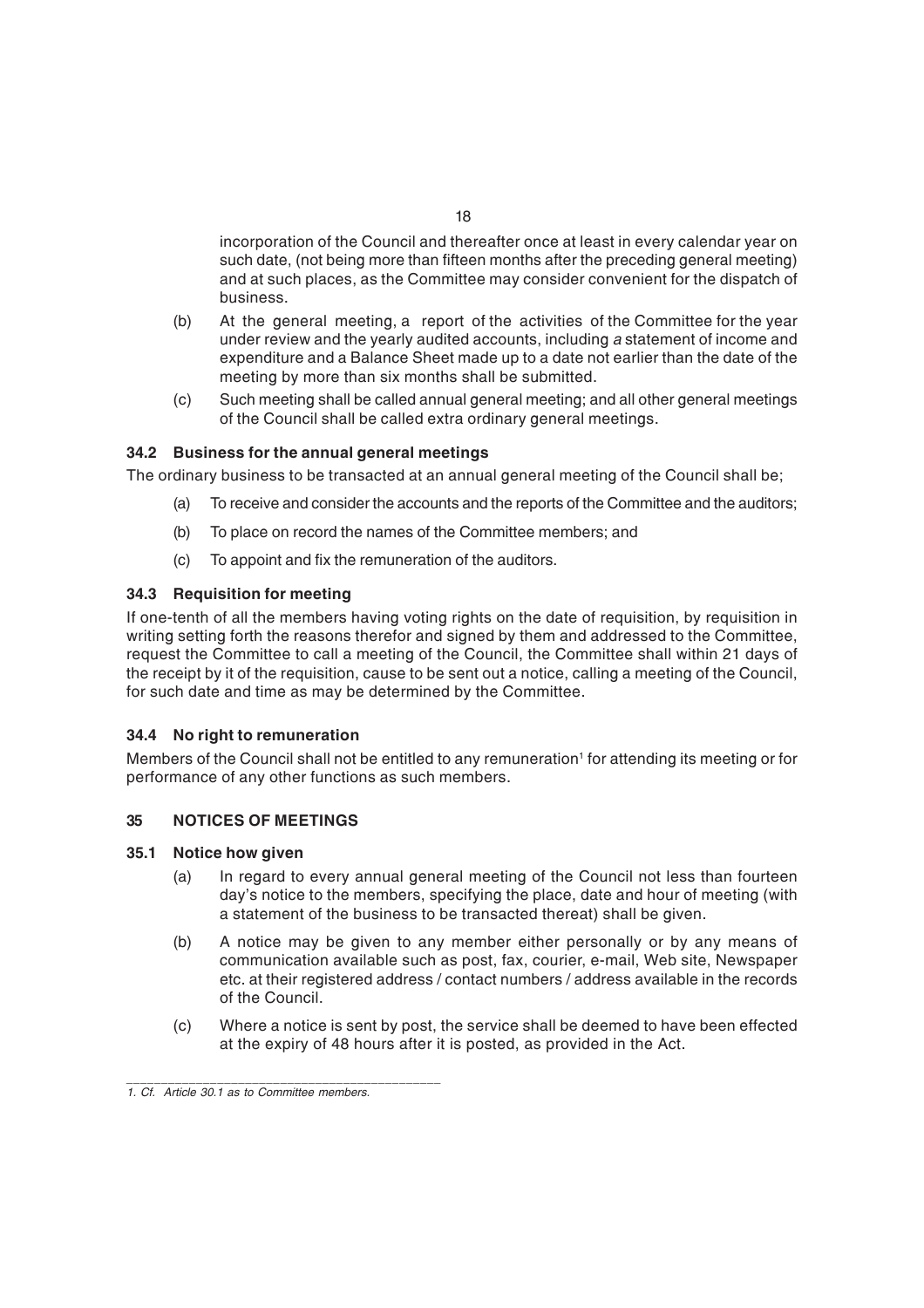incorporation of the Council and thereafter once at least in every calendar year on such date, (not being more than fifteen months after the preceding general meeting) and at such places, as the Committee may consider convenient for the dispatch of business.

- (b) At the general meeting, a report of the activities of the Committee for the year under review and the yearly audited accounts, including *a* statement of income and expenditure and a Balance Sheet made up to a date not earlier than the date of the meeting by more than six months shall be submitted.
- (c) Such meeting shall be called annual general meeting; and all other general meetings of the Council shall be called extra ordinary general meetings.

## **34.2 Business for the annual general meetings**

The ordinary business to be transacted at an annual general meeting of the Council shall be;

- (a) To receive and consider the accounts and the reports of the Committee and the auditors;
- (b) To place on record the names of the Committee members; and
- (c) To appoint and fix the remuneration of the auditors.

#### **34.3 Requisition for meeting**

If one-tenth of all the members having voting rights on the date of requisition, by requisition in writing setting forth the reasons therefor and signed by them and addressed to the Committee, request the Committee to call a meeting of the Council, the Committee shall within 21 days of the receipt by it of the requisition, cause to be sent out a notice, calling a meeting of the Council, for such date and time as may be determined by the Committee.

#### **34.4 No right to remuneration**

Members of the Council shall not be entitled to any remuneration' for attending its meeting or for performance of any other functions as such members.

#### **35 NOTICES OF MEETINGS**

#### **35.1 Notice how given**

- (a) In regard to every annual general meeting of the Council not less than fourteen day's notice to the members, specifying the place, date and hour of meeting (with a statement of the business to be transacted thereat) shall be given.
- (b) A notice may be given to any member either personally or by any means of communication available such as post, fax, courier, e-mail, Web site, Newspaper etc. at their registered address / contact numbers / address available in the records of the Council.
- (c) Where a notice is sent by post, the service shall be deemed to have been effected at the expiry of 48 hours after it is posted, as provided in the Act.

*\_\_\_\_\_\_\_\_\_\_\_\_\_\_\_\_\_\_\_\_\_\_\_\_\_\_\_\_\_\_\_\_\_\_\_\_\_\_\_\_\_\_\_\_\_*

*<sup>1.</sup> Cf. Article 30.1 as to Committee members.*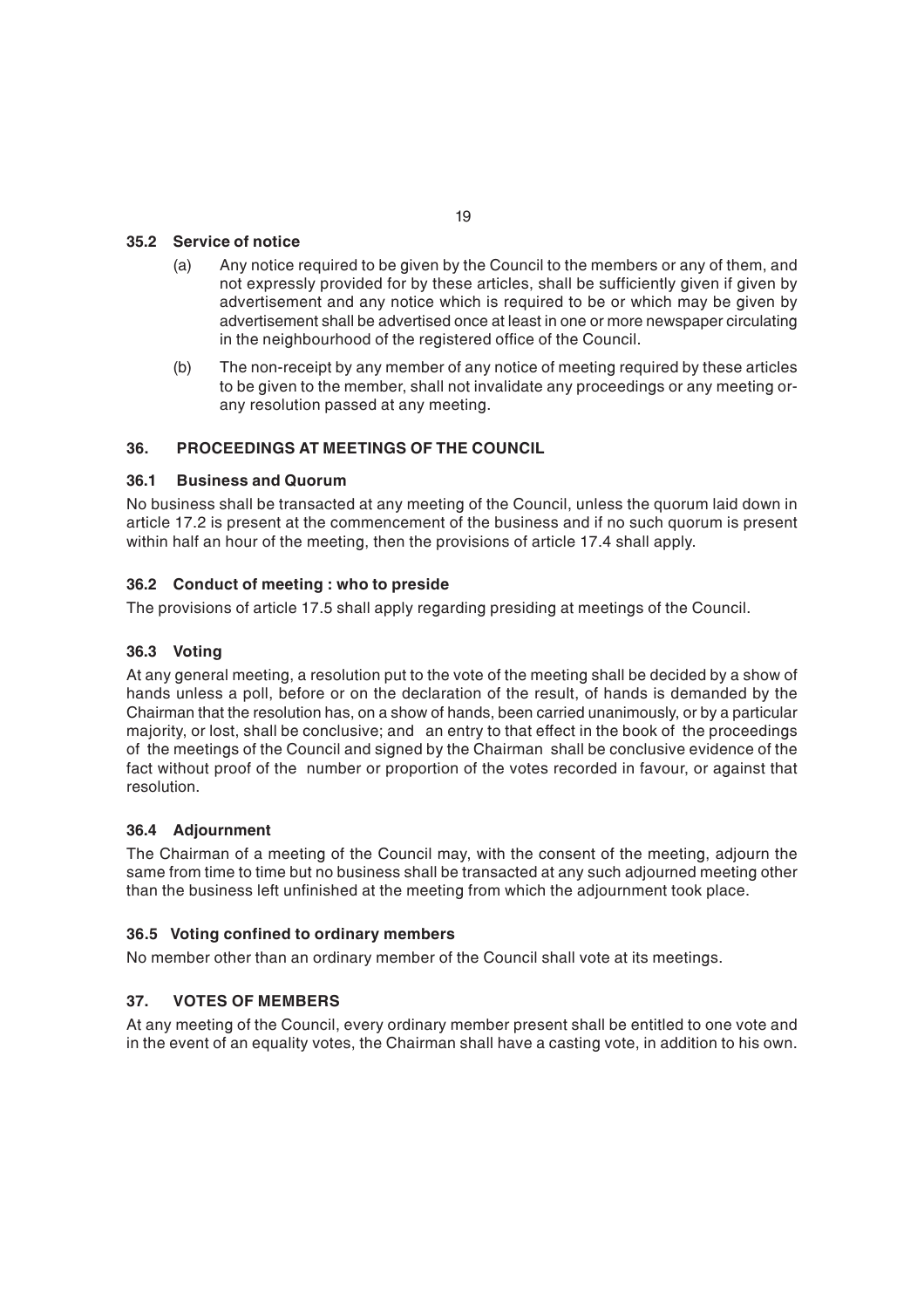## **35.2 Service of notice**

- (a) Any notice required to be given by the Council to the members or any of them, and not expressly provided for by these articles, shall be sufficiently given if given by advertisement and any notice which is required to be or which may be given by advertisement shall be advertised once at least in one or more newspaper circulating in the neighbourhood of the registered office of the Council.
- (b) The non-receipt by any member of any notice of meeting required by these articles to be given to the member, shall not invalidate any proceedings or any meeting orany resolution passed at any meeting.

## **36. PROCEEDINGS AT MEETINGS OF THE COUNCIL**

#### **36.1 Business and Quorum**

No business shall be transacted at any meeting of the Council, unless the quorum laid down in article 17.2 is present at the commencement of the business and if no such quorum is present within half an hour of the meeting, then the provisions of article 17.4 shall apply.

## **36.2 Conduct of meeting : who to preside**

The provisions of article 17.5 shall apply regarding presiding at meetings of the Council.

### **36.3 Voting**

At any general meeting, a resolution put to the vote of the meeting shall be decided by a show of hands unless a poll, before or on the declaration of the result, of hands is demanded by the Chairman that the resolution has, on a show of hands, been carried unanimously, or by a particular majority, or lost, shall be conclusive; and an entry to that effect in the book of the proceedings of the meetings of the Council and signed by the Chairman shall be conclusive evidence of the fact without proof of the number or proportion of the votes recorded in favour, or against that resolution.

#### **36.4 Adjournment**

The Chairman of a meeting of the Council may, with the consent of the meeting, adjourn the same from time to time but no business shall be transacted at any such adjourned meeting other than the business left unfinished at the meeting from which the adjournment took place.

## **36.5 Voting confined to ordinary members**

No member other than an ordinary member of the Council shall vote at its meetings.

## **37. VOTES OF MEMBERS**

At any meeting of the Council, every ordinary member present shall be entitled to one vote and in the event of an equality votes, the Chairman shall have a casting vote, in addition to his own.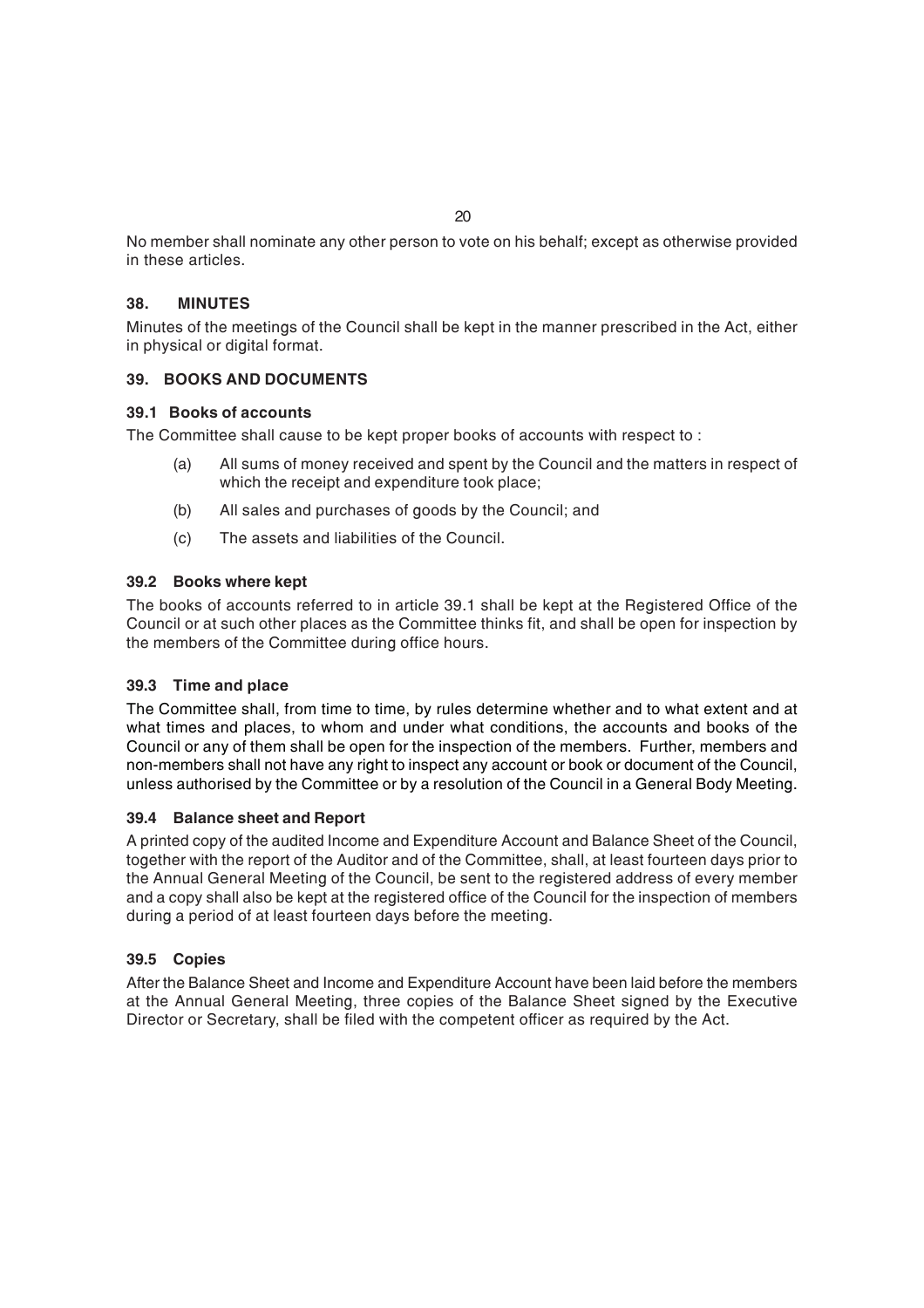No member shall nominate any other person to vote on his behalf; except as otherwise provided in these articles.

## **38. MINUTES**

Minutes of the meetings of the Council shall be kept in the manner prescribed in the Act, either in physical or digital format.

## **39. BOOKS AND DOCUMENTS**

#### **39.1 Books of accounts**

The Committee shall cause to be kept proper books of accounts with respect to :

- (a) All sums of money received and spent by the Council and the matters in respect of which the receipt and expenditure took place;
- (b) All sales and purchases of goods by the Council; and
- (c) The assets and liabilities of the Council.

## **39.2 Books where kept**

The books of accounts referred to in article 39.1 shall be kept at the Registered Office of the Council or at such other places as the Committee thinks fit, and shall be open for inspection by the members of the Committee during office hours.

#### **39.3 Time and place**

The Committee shall, from time to time, by rules determine whether and to what extent and at what times and places, to whom and under what conditions, the accounts and books of the Council or any of them shall be open for the inspection of the members. Further, members and non-members shall not have any right to inspect any account or book or document of the Council, unless authorised by the Committee or by a resolution of the Council in a General Body Meeting.

#### **39.4 Balance sheet and Report**

A printed copy of the audited Income and Expenditure Account and Balance Sheet of the Council, together with the report of the Auditor and of the Committee, shall, at least fourteen days prior to the Annual General Meeting of the Council, be sent to the registered address of every member and a copy shall also be kept at the registered office of the Council for the inspection of members during a period of at least fourteen days before the meeting.

## **39.5 Copies**

After the Balance Sheet and Income and Expenditure Account have been laid before the members at the Annual General Meeting, three copies of the Balance Sheet signed by the Executive Director or Secretary, shall be filed with the competent officer as required by the Act.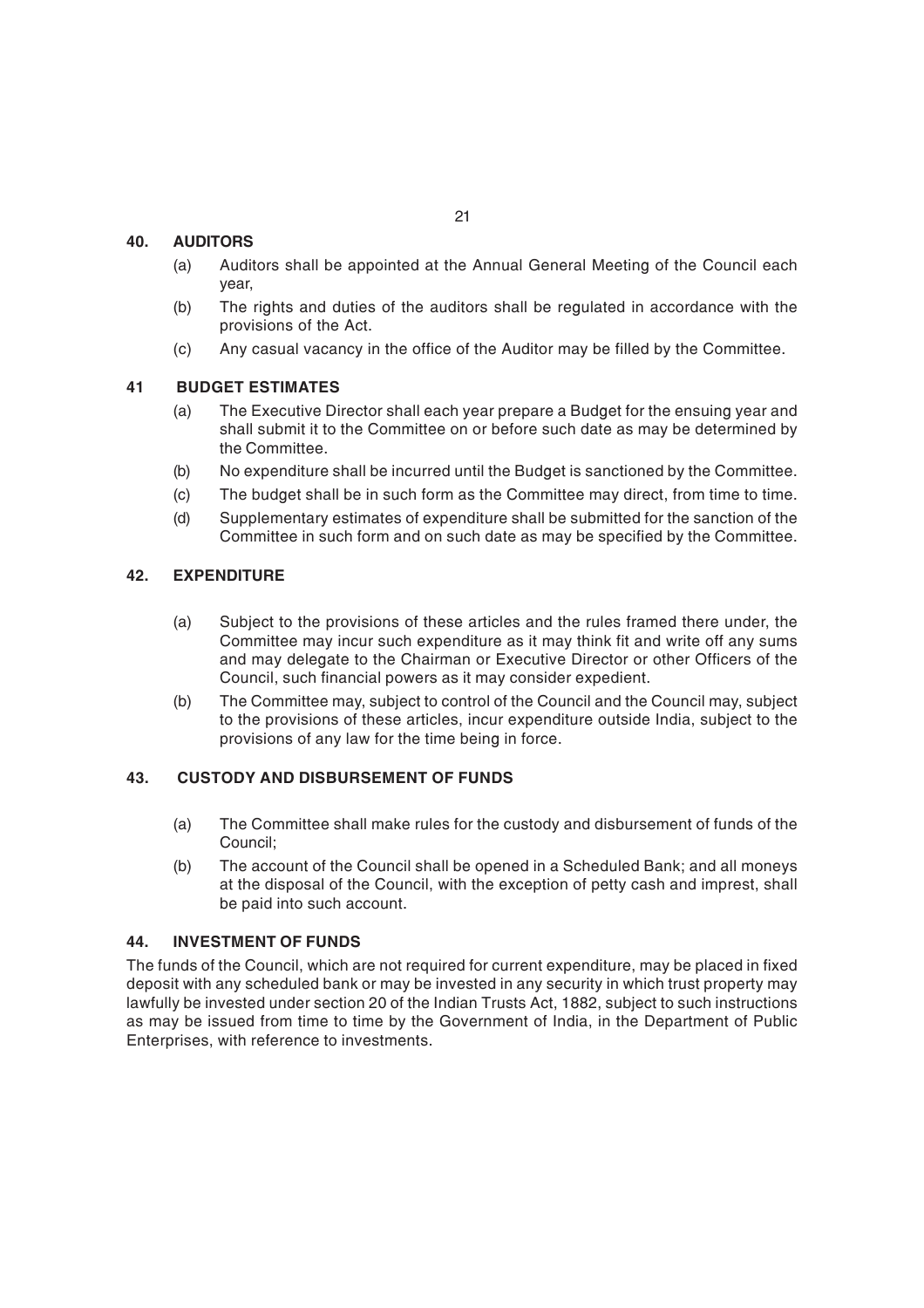## **40. AUDITORS**

- (a) Auditors shall be appointed at the Annual General Meeting of the Council each year,
- (b) The rights and duties of the auditors shall be regulated in accordance with the provisions of the Act.
- (c) Any casual vacancy in the office of the Auditor may be filled by the Committee.

## **41 BUDGET ESTIMATES**

- (a) The Executive Director shall each year prepare a Budget for the ensuing year and shall submit it to the Committee on or before such date as may be determined by the Committee.
- (b) No expenditure shall be incurred until the Budget is sanctioned by the Committee.
- (c) The budget shall be in such form as the Committee may direct, from time to time.
- (d) Supplementary estimates of expenditure shall be submitted for the sanction of the Committee in such form and on such date as may be specified by the Committee.

## **42. EXPENDITURE**

- (a) Subject to the provisions of these articles and the rules framed there under, the Committee may incur such expenditure as it may think fit and write off any sums and may delegate to the Chairman or Executive Director or other Officers of the Council, such financial powers as it may consider expedient.
- (b) The Committee may, subject to control of the Council and the Council may, subject to the provisions of these articles, incur expenditure outside India, subject to the provisions of any law for the time being in force.

## **43. CUSTODY AND DISBURSEMENT OF FUNDS**

- (a) The Committee shall make rules for the custody and disbursement of funds of the Council;
- (b) The account of the Council shall be opened in a Scheduled Bank; and all moneys at the disposal of the Council, with the exception of petty cash and imprest, shall be paid into such account.

## **44. INVESTMENT OF FUNDS**

The funds of the Council, which are not required for current expenditure, may be placed in fixed deposit with any scheduled bank or may be invested in any security in which trust property may lawfully be invested under section 20 of the Indian Trusts Act, 1882, subject to such instructions as may be issued from time to time by the Government of India, in the Department of Public Enterprises, with reference to investments.